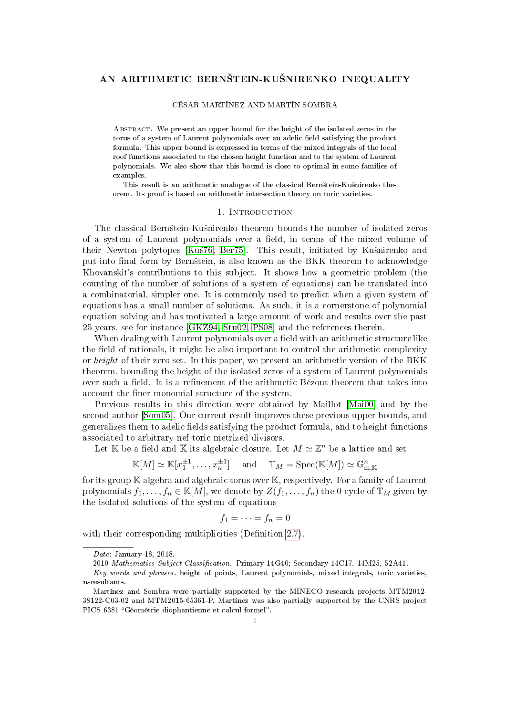## AN ARITHMETIC BERNŠTEIN-KUŠNIRENKO INEQUALITY

### CÉSAR MARTÍNEZ AND MARTÍN SOMBRA

Abstract. We present an upper bound for the height of the isolated zeros in the torus of a system of Laurent polynomials over an adelic field satisfying the product formula. This upper bound is expressed in terms of the mixed integrals of the local roof functions associated to the chosen height function and to the system of Laurent polynomials. We also show that this bound is close to optimal in some families of examples.

This result is an arithmetic analogue of the classical Bernštein-Kušnirenko theorem. Its proof is based on arithmetic intersection theory on toric varieties.

## 1. INTRODUCTION

The classical Bernštein-Kušnirenko theorem bounds the number of isolated zeros of a system of Laurent polynomials over a field, in terms of the mixed volume of their Newton polytopes [Kuš76, [Ber75\]](#page-32-1). This result, initiated by Kušnirenko and put into final form by Bernštein, is also known as the BKK theorem to acknowledge Khovanski's contributions to this subject. It shows how a geometric problem (the counting of the number of solutions of a system of equations) can be translated into a combinatorial, simpler one. It is commonly used to predict when a given system of equations has a small number of solutions. As such, it is a cornerstone of polynomial equation solving and has motivated a large amount of work and results over the past 25 years, see for instance [\[GKZ94,](#page-32-2) [Stu02,](#page-33-0) [PS08\]](#page-33-1) and the references therein.

When dealing with Laurent polynomials over a field with an arithmetic structure like the field of rationals, it might be also important to control the arithmetic complexity or height of their zero set. In this paper, we present an arithmetic version of the BKK theorem, bounding the height of the isolated zeros of a system of Laurent polynomials over such a field. It is a refinement of the arithmetic Bézout theorem that takes into account the finer monomial structure of the system.

Previous results in this direction were obtained by Maillot [\[Mai00\]](#page-33-2) and by the second author [\[Som05\]](#page-33-3). Our current result improves these previous upper bounds, and generalizes them to adelic fields satisfying the product formula, and to height functions associated to arbitrary nef toric metrized divisors.

Let  $\mathbb K$  be a field and  $\overline{\mathbb K}$  its algebraic closure. Let  $M \simeq \mathbb Z^n$  be a lattice and set

$$
\mathbb{K}[M] \simeq \mathbb{K}[x_1^{\pm 1}, \dots, x_n^{\pm 1}] \quad \text{and} \quad \mathbb{T}_M = \mathrm{Spec}(\mathbb{K}[M]) \simeq \mathbb{G}_{m, \mathbb{K}}^n
$$

for its group K-algebra and algebraic torus over K, respectively. For a family of Laurent polynomials  $f_1, \ldots, f_n \in K[M]$ , we denote by  $Z(f_1, \ldots, f_n)$  the 0-cycle of  $\mathbb{T}_M$  given by the isolated solutions of the system of equations

$$
f_1=\cdots=f_n=0
$$

with their corresponding multiplicities (Definition [2.7\)](#page-7-0).

Date: January 18, 2018.

<sup>2010</sup> Mathematics Subject Classification. Primary 14G40; Secondary 14C17, 14M25, 52A41.

Key words and phrases. height of points, Laurent polynomials, mixed integrals, toric varieties,  $u$ -resultants.

Martínez and Sombra were partially supported by the MINECO research projects MTM2012- 38122-C03-02 and MTM2015-65361-P. Martínez was also partially supported by the CNRS project PICS 6381 Géométrie diophantienne et calcul formel".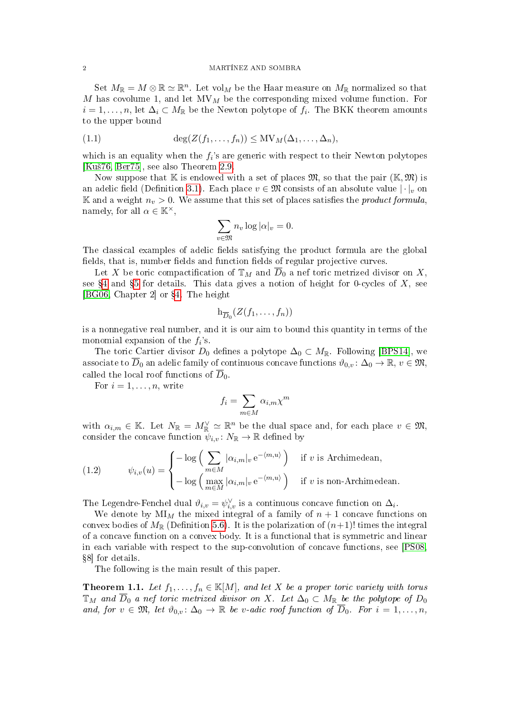## 2 MARTÍNEZ AND SOMBRA

Set  $M_{\mathbb{R}} = M \otimes \mathbb{R} \simeq \mathbb{R}^n$ . Let vol<sub>M</sub> be the Haar measure on  $M_{\mathbb{R}}$  normalized so that  $M$  has covolume 1, and let  $MV_M$  be the corresponding mixed volume function. For  $i=1,\ldots,n,$  let  $\Delta_i\subset M_{\mathbb{R}}$  be the Newton polytope of  $f_i$ . The BKK theorem amounts to the upper bound

<span id="page-1-2"></span>
$$
(1.1) \qquad \deg(Z(f_1,\ldots,f_n)) \leq \text{MV}_M(\Delta_1,\ldots,\Delta_n),
$$

which is an equality when the  $f_i$ 's are generic with respect to their Newton polytopes [Kuš $76$ , Ber $75$ ], see also Theorem [2.9.](#page-8-0)

Now suppose that  $\mathbb K$  is endowed with a set of places  $\mathfrak{M}$ , so that the pair  $(\mathbb K,\mathfrak{M})$  is an adelic field (Definition [3.1\)](#page-8-1). Each place  $v \in \mathfrak{M}$  consists of an absolute value  $|\cdot|_v$  on K and a weight  $n_v > 0$ . We assume that this set of places satisfies the *product formula*, namely, for all  $\alpha \in \mathbb{K}^{\times}$ ,

$$
\sum_{v \in \mathfrak{M}} n_v \log |\alpha|_v = 0.
$$

The classical examples of adelic fields satisfying the product formula are the global fields, that is, number fields and function fields of regular projective curves.

Let X be toric compactification of  $\mathbb{T}_M$  and  $\overline{D}_0$  a nef toric metrized divisor on X, see  $\S 4$  $\S 4$  and  $\S 5$  $\S 5$  for details. This data gives a notion of height for 0-cycles of X, see [\[BG06,](#page-32-3) Chapter 2] or §[4.](#page-12-0) The height

$$
\mathrm{h}_{\overline{D}_0}(Z(f_1,\ldots,f_n))
$$

is a nonnegative real number, and it is our aim to bound this quantity in terms of the monomial expansion of the  $f_i$ 's.

The toric Cartier divisor  $D_0$  defines a polytope  $\Delta_0 \subset M_{\mathbb{R}}$ . Following [\[BPS14\]](#page-32-4), we associate to  $\overline{D}_0$  an adelic family of continuous concave functions  $\vartheta_{0,v} \colon \Delta_0 \to \mathbb{R}, v \in \mathfrak{M}, v$ called the local roof functions of  $\overline{D}_0$ .

For  $i = 1, \ldots, n$ , write

$$
f_i = \sum_{m \in M} \alpha_{i,m} \chi^m
$$

with  $\alpha_{i,m} \in \mathbb{K}$ . Let  $N_{\mathbb{R}} = M_{\mathbb{R}}^{\vee} \simeq \mathbb{R}^n$  be the dual space and, for each place  $v \in \mathfrak{M}$ , consider the concave function  $\psi_{i,v} \colon N_{\mathbb{R}} \to \mathbb{R}$  defined by

<span id="page-1-0"></span>(1.2) 
$$
\psi_{i,v}(u) = \begin{cases}\n-\log\left(\sum_{m \in M} |\alpha_{i,m}|_v e^{-\langle m,u\rangle}\right) & \text{if } v \text{ is Archimedean,} \\
-\log\left(\max_{m \in M} |\alpha_{i,m}|_v e^{-\langle m,u\rangle}\right) & \text{if } v \text{ is non-Archimedean.}\n\end{cases}
$$

The Legendre-Fenchel dual  $\vartheta_{i,v} = \psi_{i,v}^{\vee}$  is a continuous concave function on  $\Delta_i$ .

We denote by  $MI_M$  the mixed integral of a family of  $n+1$  concave functions on convex bodies of  $M_{\mathbb{R}}$  (Definition [5.6\)](#page-22-0). It is the polarization of  $(n+1)!$  times the integral of a concave function on a convex body. It is a functional that is symmetric and linear in each variable with respect to the sup-convolution of concave functions, see [\[PS08,](#page-33-1) 8] for details.

The following is the main result of this paper.

<span id="page-1-1"></span>**Theorem 1.1.** Let  $f_1, \ldots, f_n \in \mathbb{K}[M]$ , and let X be a proper toric variety with torus  $\mathbb{T}_M$  and  $\overline{D}_0$  a nef toric metrized divisor on X. Let  $\Delta_0 \subset M_{\mathbb{R}}$  be the polytope of  $D_0$ and, for  $v \in \mathfrak{M}$ , let  $\vartheta_{0,v} \colon \Delta_0 \to \mathbb{R}$  be v-adic roof function of  $\overline{D}_0$ . For  $i = 1, \ldots, n$ ,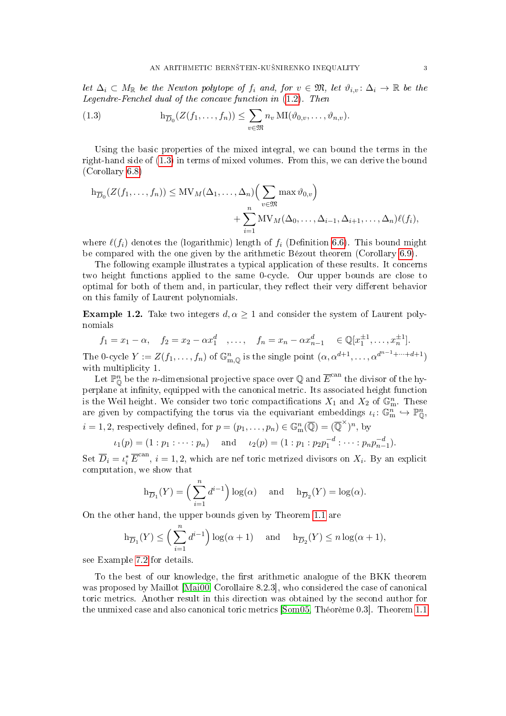let  $\Delta_i \subset M_{\mathbb{R}}$  be the Newton polytope of  $f_i$  and, for  $v \in \mathfrak{M}$ , let  $\vartheta_{i,v} \colon \Delta_i \to \mathbb{R}$  be the Legendre-Fenchel dual of the concave function in [\(1.2\)](#page-1-0). Then

<span id="page-2-0"></span>(1.3) 
$$
h_{\overline{D}_0}(Z(f_1,\ldots,f_n)) \leq \sum_{v \in \mathfrak{M}} n_v \operatorname{MI}(\vartheta_{0,v},\ldots,\vartheta_{n,v}).
$$

Using the basic properties of the mixed integral, we can bound the terms in the right-hand side of [\(1.3\)](#page-2-0) in terms of mixed volumes. From this, we can derive the bound (Corollary [6.8\)](#page-27-0)

$$
h_{\overline{D}_0}(Z(f_1,\ldots,f_n)) \le MV_M(\Delta_1,\ldots,\Delta_n)\Big(\sum_{v\in\mathfrak{M}} \max \vartheta_{0,v}\Big) + \sum_{i=1}^n MV_M(\Delta_0,\ldots,\Delta_{i-1},\Delta_{i+1},\ldots,\Delta_n)\ell(f_i),
$$

where  $\ell(f_i)$  denotes the (logarithmic) length of  $f_i$  (Definition [6.6\)](#page-26-0). This bound might be compared with the one given by the arithmetic Bézout theorem (Corollary [6.9\)](#page-27-1).

The following example illustrates a typical application of these results. It concerns two height functions applied to the same 0-cycle. Our upper bounds are close to optimal for both of them and, in particular, they reflect their very different behavior on this family of Laurent polynomials.

<span id="page-2-1"></span>**Example 1.2.** Take two integers  $d, \alpha \geq 1$  and consider the system of Laurent polynomials

$$
f_1 = x_1 - \alpha
$$
,  $f_2 = x_2 - \alpha x_1^d$ , ...,  $f_n = x_n - \alpha x_{n-1}^d \in \mathbb{Q}[x_1^{\pm 1}, \dots, x_n^{\pm 1}].$ 

The 0-cycle  $Y := Z(f_1, \ldots, f_n)$  of  $\mathbb{G}_{m,\mathbb{Q}}^n$  is the single point  $(\alpha, \alpha^{d+1}, \ldots, \alpha^{d^{n-1}+\cdots+d+1})$ with multiplicity 1.

Let  $\mathbb{P}^n_{\mathbb{O}}$  be the *n*-dimensional projective space over Q and  $\overline{E}^{\text{can}}$  the divisor of the hyperplane at infinity, equipped with the canonical metric. Its associated height function is the Weil height. We consider two toric compactifications  $X_1$  and  $X_2$  of  $\mathbb{G}_{\text{m}}^n$ . These are given by compactifying the torus via the equivariant embeddings  $\iota_i \colon \mathbb{G}_{m}^{n} \hookrightarrow \mathbb{P}_{\mathbb{Q}}^{n}$ ,

$$
i = 1, 2, \text{ respectively defined, for } p = (p_1, \dots, p_n) \in \mathbb{G}_{m}^n(\overline{\mathbb{Q}}) = (\overline{\mathbb{Q}}^{\times})^n, \text{ by}
$$

$$
\iota_1(p) = (1:p_1:\dots:p_n) \quad \text{and} \quad \iota_2(p) = (1:p_1:p_2p_1^{-d}:\dots:p_np_{n-1}^{-d}).
$$

Set  $\overline{D}_i = \iota_i^* \overline{E}^{\text{can}}, i = 1, 2$ , which are nef toric metrized divisors on  $X_i$ . By an explicit computation, we show that

$$
\mathrm{h}_{\overline{D}_1}(Y) = \left(\sum_{i=1}^n d^{i-1}\right) \log(\alpha) \quad \text{ and } \quad \mathrm{h}_{\overline{D}_2}(Y) = \log(\alpha).
$$

On the other hand, the upper bounds given by Theorem [1.1](#page-1-1) are

$$
\mathrm{h}_{\overline{D}_1}(Y) \le \left(\sum_{i=1}^n d^{i-1}\right) \log(\alpha+1) \quad \text{and} \quad \mathrm{h}_{\overline{D}_2}(Y) \le n \log(\alpha+1),
$$

see Example [7.2](#page-29-0) for details.

To the best of our knowledge, the first arithmetic analogue of the BKK theorem was proposed by Maillot [\[Mai00,](#page-33-2) Corollaire 8.2.3], who considered the case of canonical toric metrics. Another result in this direction was obtained by the second author for the unmixed case and also canonical toric metrics [\[Som05,](#page-33-3) Théorème 0.3]. Theorem [1.1](#page-1-1)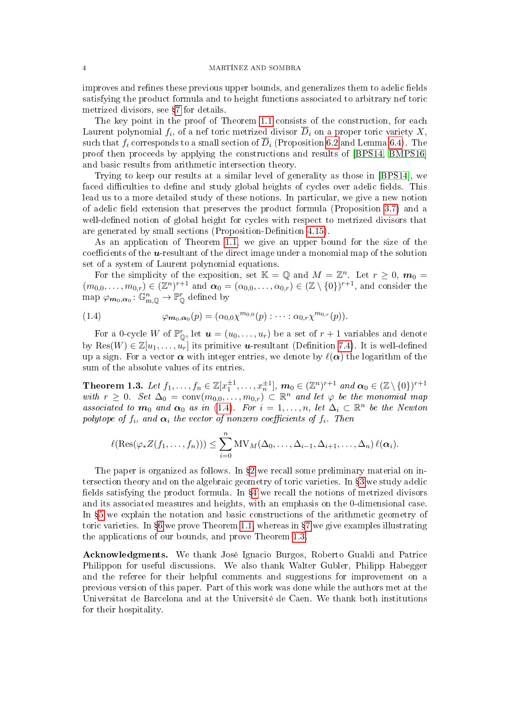improves and refines these previous upper bounds, and generalizes them to adelic fields satisfying the product formula and to height functions associated to arbitrary nef toric metrized divisors, see §[7](#page-27-2) for details.

The key point in the proof of Theorem [1.1](#page-1-1) consists of the construction, for each Laurent polynomial  $f_i$ , of a nef toric metrized divisor  $D_i$  on a proper toric variety  $X,$ such that  $f_i$  corresponds to a small section of  $\overline{D}_i$  (Proposition [6.2](#page-24-0) and Lemma [6.4\)](#page-25-0). The proof then proceeds by applying the constructions and results of [\[BPS14,](#page-32-4) [BMPS16\]](#page-32-5) and basic results from arithmetic intersection theory.

Trying to keep our results at a similar level of generality as those in [\[BPS14\]](#page-32-4), we faced difficulties to define and study global heights of cycles over adelic fields. This lead us to a more detailed study of these notions. In particular, we give a new notion of adelic field extension that preserves the product formula (Proposition [3.7\)](#page-10-0) and a well-defined notion of global height for cycles with respect to metrized divisors that are generated by small sections (Proposition-Definition [4.15\)](#page-18-0).

As an application of Theorem [1.1,](#page-1-1) we give an upper bound for the size of the coefficients of the  $u$ -resultant of the direct image under a monomial map of the solution set of a system of Laurent polynomial equations.

For the simplicity of the exposition, set  $\mathbb{K} = \mathbb{Q}$  and  $M = \mathbb{Z}^n$ . Let  $r \geq 0$ ,  $m_0 =$  $(m_{0,0},\ldots,m_{0,r})\in (\mathbb{Z}^n)^{r+1}$  and  $\alpha_0=(\alpha_{0,0},\ldots,\alpha_{0,r})\in (\mathbb{Z}\setminus\{0\})^{r+1}$ , and consider the map  $\varphi_{m_0,\alpha_0} : \mathbb{G}_{m,\mathbb{Q}}^n \to \mathbb{P}_{\mathbb{Q}}^r$  defined by

<span id="page-3-0"></span>(1.4) 
$$
\varphi_{m_0,\alpha_0}(p) = (\alpha_{0,0}\chi^{m_{0,0}}(p) : \cdots : \alpha_{0,r}\chi^{m_{0,r}}(p)).
$$

For a 0-cycle W of  $\mathbb{P}_{\mathbb{Q}}^r$ , let  $\boldsymbol{u} = (u_0, \ldots, u_r)$  be a set of  $r + 1$  variables and denote by Res $(W) \in \mathbb{Z}[u_1,\ldots,u_r]$  its primitive **u**-resultant (Definition [7.4\)](#page-31-0). It is well-defined up a sign. For a vector  $\alpha$  with integer entries, we denote by  $\ell(\alpha)$  the logarithm of the sum of the absolute values of its entries.

<span id="page-3-1"></span>Theorem 1.3. Let  $f_1,\ldots,f_n\in\mathbb{Z}[x_1^{\pm 1},\ldots,x_n^{\pm 1}],$   $\boldsymbol{m}_0\in(\mathbb{Z}^n)^{r+1}$  and  $\boldsymbol{\alpha}_0\in(\mathbb{Z}\setminus\{0\})^{r+1}$ with  $r \geq 0$ . Set  $\Delta_0 = \text{conv}(m_{0,0}, \ldots, m_{0,r}) \subset \mathbb{R}^n$  and let  $\varphi$  be the monomial map associated to  $m_0$  and  $\alpha_0$  as in [\(1.4\)](#page-3-0). For  $i=1,\ldots,n$ , let  $\Delta_i\subset\mathbb{R}^n$  be the Newton polytope of  $f_i$ , and  $\alpha_i$  the vector of nonzero coefficients of  $f_i$ . Then

$$
\ell(\text{Res}(\varphi_*Z(f_1,\ldots,f_n)))\leq \sum_{i=0}^n \text{MV}_M(\Delta_0,\ldots,\Delta_{i-1},\Delta_{i+1},\ldots,\Delta_n)\,\ell(\alpha_i).
$$

The paper is organized as follows. In  $\S2$  $\S2$  we recall some preliminary material on in-tersection theory and on the algebraic geometry of toric varieties. In \$[3](#page-8-2) we study adelic fields satisfying the product formula. In  $\S 4$  $\S 4$  we recall the notions of metrized divisors and its associated measures and heights, with an emphasis on the 0-dimensional case. In  $\S5$  $\S5$  we explain the notation and basic constructions of the arithmetic geometry of toric varieties. In  $\S 6$  $\S 6$  we prove Theorem [1.1,](#page-1-1) whereas in  $\S 7$  $\S 7$  we give examples illustrating the applications of our bounds, and prove Theorem [1.3.](#page-3-1)

Acknowledgments. We thank José Ignacio Burgos, Roberto Gualdi and Patrice Philippon for useful discussions. We also thank Walter Gubler, Philipp Habegger and the referee for their helpful comments and suggestions for improvement on a previous version of this paper. Part of this work was done while the authors met at the Universitat de Barcelona and at the Université de Caen. We thank both institutions for their hospitality.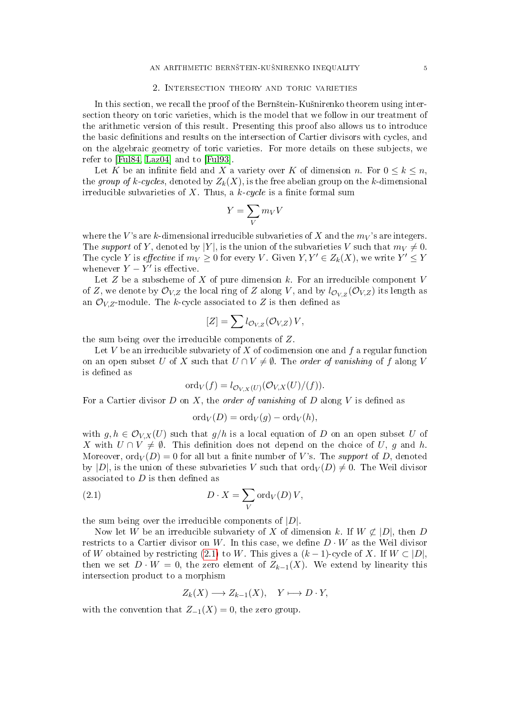## 2. Intersection theory and toric varieties

<span id="page-4-0"></span>In this section, we recall the proof of the Bernstein-Kusnirenko theorem using intersection theory on toric varieties, which is the model that we follow in our treatment of the arithmetic version of this result. Presenting this proof also allows us to introduce the basic definitions and results on the intersection of Cartier divisors with cycles, and on the algebraic geometry of toric varieties. For more details on these subjects, we refer to [\[Ful84,](#page-32-6) [Laz04\]](#page-33-4) and to [\[Ful93\]](#page-32-7).

Let K be an infinite field and X a variety over K of dimension n. For  $0 \leq k \leq n$ , the group of k-cycles, denoted by  $Z_k(X)$ , is the free abelian group on the k-dimensional irreducible subvarieties of X. Thus, a  $k$ -cycle is a finite formal sum

$$
Y=\sum_V m_V V
$$

where the V's are k-dimensional irreducible subvarieties of X and the  $m_V$ 's are integers. The support of Y, denoted by |Y|, is the union of the subvarieties V such that  $m_V \neq 0$ . The cycle Y is *effective* if  $m_V \geq 0$  for every V. Given  $Y, Y' \in Z_k(X)$ , we write  $Y' \leq Y$ whenever  $Y - Y'$  is effective.

Let  $Z$  be a subscheme of  $X$  of pure dimension  $k$ . For an irreducible component  $V$ of Z, we denote by  $\mathcal{O}_{V,Z}$  the local ring of Z along V, and by  $l_{\mathcal{O}_{V,Z}}(\mathcal{O}_{V,Z})$  its length as an  $\mathcal{O}_{V,Z}$ -module. The k-cycle associated to Z is then defined as

$$
[Z] = \sum l_{\mathcal{O}_{V,Z}}(\mathcal{O}_{V,Z}) V,
$$

the sum being over the irreducible components of Z.

Let V be an irreducible subvariety of X of codimension one and  $f$  a regular function on an open subset U of X such that  $U \cap V \neq \emptyset$ . The *order of vanishing* of f along V is defined as

$$
ord_V(f) = l_{\mathcal{O}_{V,X}(U)}(\mathcal{O}_{V,X}(U)/(f)).
$$

For a Cartier divisor  $D$  on  $X$ , the *order of vanishing* of  $D$  along  $V$  is defined as

<span id="page-4-1"></span>
$$
ord_V(D) = ord_V(g) - ord_V(h),
$$

with  $g, h \in \mathcal{O}_{V,X}(U)$  such that  $g/h$  is a local equation of D on an open subset U of X with  $U \cap V \neq \emptyset$ . This definition does not depend on the choice of U, g and h. Moreover,  $\text{ord}_V(D) = 0$  for all but a finite number of V's. The support of D, denoted by  $|D|$ , is the union of these subvarieties V such that  $\text{ord}_V(D) \neq 0$ . The Weil divisor associated to  $D$  is then defined as

(2.1) 
$$
D \cdot X = \sum_{V} \text{ord}_{V}(D) V,
$$

the sum being over the irreducible components of  $|D|$ .

Now let W be an irreducible subvariety of X of dimension k. If  $W \not\subset |D|$ , then D restricts to a Cartier divisor on W. In this case, we define  $D \cdot W$  as the Weil divisor of W obtained by restricting [\(2.1\)](#page-4-1) to W. This gives a  $(k-1)$ -cycle of X. If  $W \subset |D|$ , then we set  $D \cdot W = 0$ , the zero element of  $Z_{k-1}(X)$ . We extend by linearity this intersection product to a morphism

$$
Z_k(X) \longrightarrow Z_{k-1}(X), \quad Y \longmapsto D \cdot Y,
$$

with the convention that  $Z_{-1}(X) = 0$ , the zero group.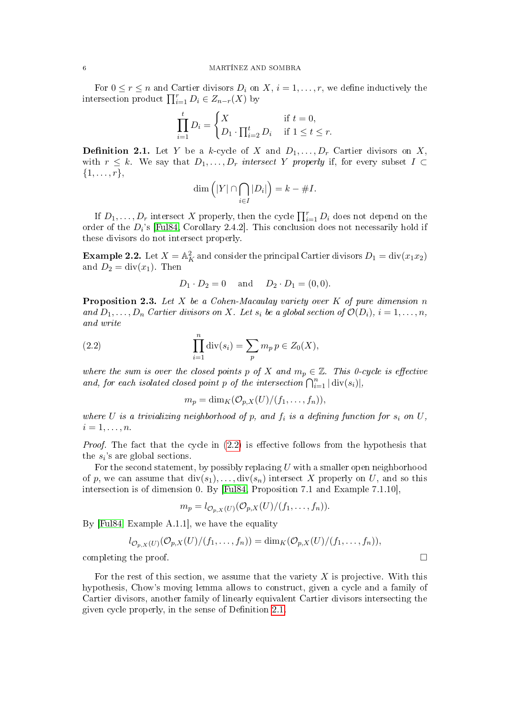For  $0 \le r \le n$  and Cartier divisors  $D_i$  on  $X, i = 1, \ldots, r$ , we define inductively the intersection product  $\prod_{i=1}^r D_i \in Z_{n-r}(X)$  by

$$
\prod_{i=1}^{t} D_i = \begin{cases} X & \text{if } t = 0, \\ D_1 \cdot \prod_{i=2}^{t} D_i & \text{if } 1 \le t \le r. \end{cases}
$$

<span id="page-5-1"></span>**Definition 2.1.** Let Y be a k-cycle of X and  $D_1, \ldots, D_r$  Cartier divisors on X, with  $r \leq k$ . We say that  $D_1, \ldots, D_r$  intersect Y properly if, for every subset  $I \subset$  $\{1, \ldots, r\},\$ 

$$
\dim\left(|Y|\cap\bigcap_{i\in I}|D_i|\right)=k-\#I.
$$

If  $D_1, \ldots, D_r$  intersect X properly, then the cycle  $\prod_{i=1}^r D_i$  does not depend on the order of the  $D_i$ 's [\[Ful84,](#page-32-6) Corollary 2.4.2]. This conclusion does not necessarily hold if these divisors do not intersect properly.

**Example 2.2.** Let  $X = \mathbb{A}^2$  and consider the principal Cartier divisors  $D_1 = \text{div}(x_1 x_2)$ and  $D_2 = \text{div}(x_1)$ . Then

$$
D_1 \cdot D_2 = 0
$$
 and  $D_2 \cdot D_1 = (0, 0)$ .

<span id="page-5-2"></span>**Proposition 2.3.** Let  $X$  be a Cohen-Macaulay variety over  $K$  of pure dimension  $n$ and  $D_1, \ldots, D_n$  Cartier divisors on X. Let  $s_i$  be a global section of  $\mathcal{O}(D_i)$ ,  $i = 1, \ldots, n$ , and write

(2.2) 
$$
\prod_{i=1}^{n} \text{div}(s_i) = \sum_{p} m_p p \in Z_0(X),
$$

where the sum is over the closed points p of X and  $m_p \in \mathbb{Z}$ . This 0-cycle is effective and, for each isolated closed point p of the intersection  $\bigcap_{i=1}^n |\text{div}(s_i)|$ ,

<span id="page-5-0"></span> $m_p = \dim_K(\mathcal{O}_{p,X}(U)/(f_1,\ldots,f_n)),$ 

where U is a trivializing neighborhood of p, and  $f_i$  is a defining function for  $s_i$  on U,  $i=1,\ldots,n$ .

*Proof.* The fact that the cycle in  $(2.2)$  is effective follows from the hypothesis that the  $s_i$ 's are global sections.

For the second statement, by possibly replacing U with a smaller open neighborhood of p, we can assume that  $div(s_1), \ldots, div(s_n)$  intersect X properly on U, and so this intersection is of dimension 0. By [\[Ful84,](#page-32-6) Proposition 7.1 and Example 7.1.10],

$$
m_p = l_{\mathcal{O}_{p,X}(U)}(\mathcal{O}_{p,X}(U)/(f_1,\ldots,f_n)).
$$

By [\[Ful84,](#page-32-6) Example A.1.1], we have the equality

$$
l_{\mathcal{O}_{p,X}(U)}(\mathcal{O}_{p,X}(U)/(f_1,\ldots,f_n))=\dim_K(\mathcal{O}_{p,X}(U)/(f_1,\ldots,f_n)),
$$

completing the proof.  $\Box$ 

For the rest of this section, we assume that the variety  $X$  is projective. With this hypothesis, Chow's moving lemma allows to construct, given a cycle and a family of Cartier divisors, another family of linearly equivalent Cartier divisors intersecting the given cycle properly, in the sense of Definition [2.1.](#page-5-1)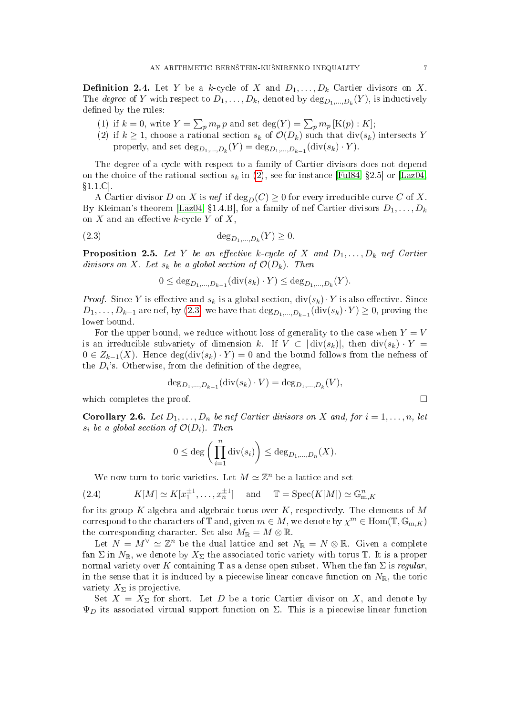**Definition 2.4.** Let Y be a k-cycle of X and  $D_1, \ldots, D_k$  Cartier divisors on X. The *degree* of Y with respect to  $D_1, \ldots, D_k$ , denoted by  $\text{deg}_{D_1, \ldots, D_k}(Y)$ , is inductively defined by the rules:

- (1) if  $k = 0$ , write  $Y = \sum_p m_p p$  and set  $\deg(Y) = \sum_p m_p [\text{K}(p) : K]$ ;
- <span id="page-6-0"></span>(2) if  $k \geq 1$ , choose a rational section  $s_k$  of  $\mathcal{O}(D_k)$  such that  $\text{div}(s_k)$  intersects Y properly, and set  $\text{deg}_{D_1,...,D_k}(Y) = \text{deg}_{D_1,...,D_{k-1}}(\text{div}(s_k) \cdot Y)$ .

The degree of a cycle with respect to a family of Cartier divisors does not depend on the choice of the rational section  $s_k$  in [\(2\)](#page-6-0), see for instance [\[Ful84,](#page-32-6) §2.5] or [\[Laz04,](#page-33-4)  $§1.1$ .C.

A Cartier divisor D on X is nef if  $\deg_D(C) \geq 0$  for every irreducible curve C of X. By Kleiman's theorem [\[Laz04,](#page-33-4) §1.4.B], for a family of nef Cartier divisors  $D_1, \ldots, D_k$ on X and an effective  $k$ -cycle Y of X,

(2.3) 
$$
\deg_{D_1,...,D_k}(Y) \geq 0.
$$

<span id="page-6-3"></span>**Proposition 2.5.** Let Y be an effective k-cycle of X and  $D_1, \ldots, D_k$  nef Cartier divisors on X. Let  $s_k$  be a global section of  $\mathcal{O}(D_k)$ . Then

<span id="page-6-1"></span>
$$
0 \le \deg_{D_1, ..., D_{k-1}}(\text{div}(s_k) \cdot Y) \le \deg_{D_1, ..., D_k}(Y).
$$

*Proof.* Since Y is effective and  $s_k$  is a global section,  $\text{div}(s_k) \cdot Y$  is also effective. Since  $D_1, \ldots, D_{k-1}$  are nef, by  $(2.3)$  we have that  $\deg_{D_1, \ldots, D_{k-1}}(\text{div}(s_k) \cdot Y) \geq 0$ , proving the lower bound.

For the upper bound, we reduce without loss of generality to the case when  $Y = V$ is an irreducible subvariety of dimension k. If  $V \subset |\text{div}(s_k)|$ , then  $\text{div}(s_k) \cdot Y =$  $0 \in Z_{k-1}(X)$ . Hence  $\deg(\text{div}(s_k) \cdot Y) = 0$  and the bound follows from the nefness of the  $D_i$ 's. Otherwise, from the definition of the degree,

$$
\deg_{D_1,\dots,D_{k-1}}(\text{div}(s_k)\cdot V) = \deg_{D_1,\dots,D_k}(V),
$$

which completes the proof.  $\Box$ 

<span id="page-6-2"></span>**Corollary 2.6.** Let  $D_1, \ldots, D_n$  be nef Cartier divisors on X and, for  $i = 1, \ldots, n$ , let  $s_i$  be a global section of  $\mathcal{O}(D_i)$ . Then

$$
0 \leq \deg \bigg(\prod_{i=1}^n \mathrm{div}(s_i)\bigg) \leq \deg_{D_1,\ldots,D_n}(X).
$$

<span id="page-6-4"></span>We now turn to toric varieties. Let  $M \simeq \mathbb{Z}^n$  be a lattice and set

(2.4) 
$$
K[M] \simeq K[x_1^{\pm 1}, \dots, x_n^{\pm 1}]
$$
 and  $\mathbb{T} = \text{Spec}(K[M]) \simeq \mathbb{G}_{m,K}^n$ 

for its group K-algebra and algebraic torus over  $K$ , respectively. The elements of M correspond to the characters of  $\mathbb T$  and, given  $m\in M,$  we denote by  $\chi^m\in\mathrm{Hom}(\mathbb T,\mathbb G_{\mathrm m,K})$ the corresponding character. Set also  $M_{\mathbb{R}} = M \otimes \mathbb{R}$ .

Let  $N = M^{\vee} \simeq \mathbb{Z}^n$  be the dual lattice and set  $N_{\mathbb{R}} = N \otimes \mathbb{R}$ . Given a complete fan  $\Sigma$  in  $N_{\mathbb{R}}$ , we denote by  $X_{\Sigma}$  the associated toric variety with torus T. It is a proper normal variety over K containing  $\mathbb T$  as a dense open subset. When the fan  $\Sigma$  is regular, in the sense that it is induced by a piecewise linear concave function on  $N_{\mathbb{R}}$ , the toric variety  $X_{\Sigma}$  is projective.

Set  $X = X_{\Sigma}$  for short. Let D be a toric Cartier divisor on X, and denote by  $\Psi_D$  its associated virtual support function on  $\Sigma$ . This is a piecewise linear function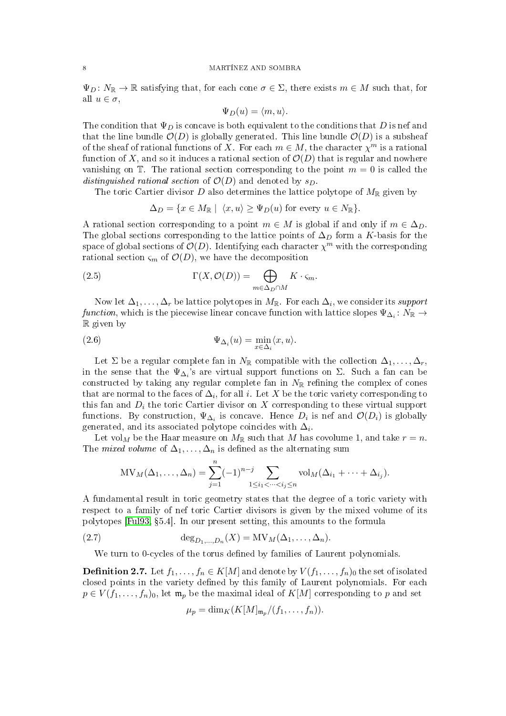$\Psi_D\colon N_{\mathbb{R}}\to{\mathbb{R}}$  satisfying that, for each cone  $\sigma\in\Sigma$ , there exists  $m\in M$  such that, for all  $u \in \sigma$ ,

$$
\Psi_D(u) = \langle m, u \rangle.
$$

The condition that  $\Psi_D$  is concave is both equivalent to the conditions that D is nef and that the line bundle  $\mathcal{O}(D)$  is globally generated. This line bundle  $\mathcal{O}(D)$  is a subsheaf of the sheaf of rational functions of X. For each  $m \in M$ , the character  $\chi^m$  is a rational function of X, and so it induces a rational section of  $\mathcal{O}(D)$  that is regular and nowhere vanishing on  $\mathbb T$ . The rational section corresponding to the point  $m = 0$  is called the distinguished rational section of  $\mathcal{O}(D)$  and denoted by  $s_D$ .

The toric Cartier divisor D also determines the lattice polytope of  $M_{\mathbb{R}}$  given by

<span id="page-7-1"></span>
$$
\Delta_D = \{ x \in M_{\mathbb{R}} \mid \langle x, u \rangle \geq \Psi_D(u) \text{ for every } u \in N_{\mathbb{R}} \}.
$$

A rational section corresponding to a point  $m \in M$  is global if and only if  $m \in \Delta_D$ . The global sections corresponding to the lattice points of  $\Delta_D$  form a K-basis for the space of global sections of  $\mathcal{O}(D)$ . Identifying each character  $\chi^{\bar{m}}$  with the corresponding rational section  $\varsigma_m$  of  $\mathcal{O}(D)$ , we have the decomposition

(2.5) 
$$
\Gamma(X, \mathcal{O}(D)) = \bigoplus_{m \in \Delta_D \cap M} K \cdot \varsigma_m.
$$

Now let  $\Delta_1,\ldots,\Delta_r$  be lattice polytopes in  $M_\mathbb{R}$ . For each  $\Delta_i,$  we consider its support  $function,$  which is the piecewise linear concave function with lattice slopes  $\Psi_{\Delta_i}: N_{\mathbb{R}} \to$ R given by

<span id="page-7-3"></span>(2.6) 
$$
\Psi_{\Delta_i}(u) = \min_{x \in \Delta_i} \langle x, u \rangle.
$$

Let  $\Sigma$  be a regular complete fan in  $N_{\mathbb{R}}$  compatible with the collection  $\Delta_1, \ldots, \Delta_r$ , in the sense that the  $\Psi_{\Delta_i}$ 's are virtual support functions on  $\Sigma$ . Such a fan can be constructed by taking any regular complete fan in  $N_{\mathbb{R}}$  refining the complex of cones that are normal to the faces of  $\Delta_i,$  for all  $i.$  Let  $X$  be the toric variety corresponding to this fan and  $D_i$  the toric Cartier divisor on X corresponding to these virtual support functions. By construction,  $\Psi_{\Delta_i}$  is concave. Hence  $D_i$  is nef and  $\mathcal{O}(D_i)$  is globally generated, and its associated polytope coincides with  $\Delta_i$ .

Let vol<sub>M</sub> be the Haar measure on  $M_{\mathbb{R}}$  such that M has covolume 1, and take  $r = n$ . The *mixed volume* of  $\Delta_1, \ldots, \Delta_n$  is defined as the alternating sum

MV<sub>M</sub>(
$$
\Delta_1
$$
,..., $\Delta_n$ ) =  $\sum_{j=1}^n (-1)^{n-j} \sum_{1 \le i_1 < \dots < i_j \le n}$  vol<sub>M</sub>( $\Delta_{i_1} + \dots + \Delta_{i_j}$ ).

A fundamental result in toric geometry states that the degree of a toric variety with respect to a family of nef toric Cartier divisors is given by the mixed volume of its polytopes [\[Ful93,](#page-32-7) 5.4]. In our present setting, this amounts to the formula

(2.7) 
$$
\deg_{D_1,\ldots,D_n}(X) = MV_M(\Delta_1,\ldots,\Delta_n).
$$

We turn to 0-cycles of the torus defined by families of Laurent polynomials.

<span id="page-7-0"></span>**Definition 2.7.** Let  $f_1, \ldots, f_n \in K[M]$  and denote by  $V(f_1, \ldots, f_n)_0$  the set of isolated closed points in the variety defined by this family of Laurent polynomials. For each  $p \in V(f_1,\ldots,f_n)_0$ , let  $\mathfrak{m}_p$  be the maximal ideal of  $K[M]$  corresponding to p and set

<span id="page-7-2"></span>
$$
\mu_p = \dim_K(K[M]_{\mathfrak{m}_p}/(f_1,\ldots,f_n)).
$$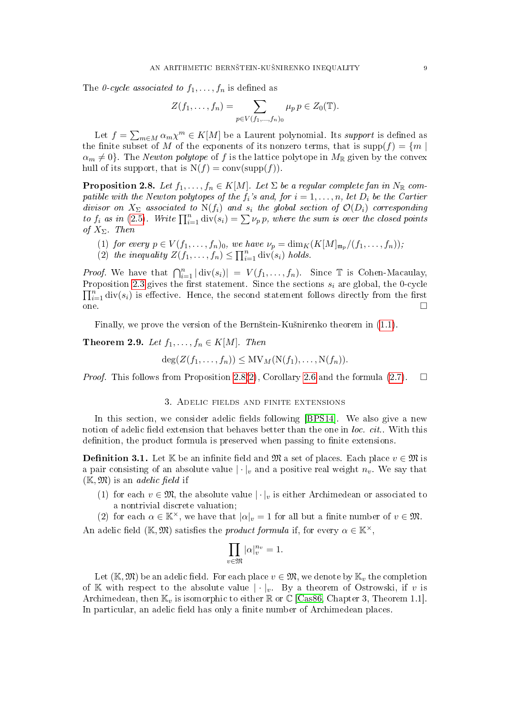The 0-cycle associated to  $f_1, \ldots, f_n$  is defined as

$$
Z(f_1,\ldots,f_n) = \sum_{p \in V(f_1,\ldots,f_n)_0} \mu_p \, p \in Z_0(\mathbb{T}).
$$

Let  $f = \sum_{m \in M} \alpha_m \chi^m \in K[M]$  be a Laurent polynomial. Its *support* is defined as the finite subset of M of the exponents of its nonzero terms, that is supp $(f) = \{m \mid$  $\alpha_m \neq 0$ . The *Newton polytope* of f is the lattice polytope in  $M_{\mathbb{R}}$  given by the convex hull of its support, that is  $N(f) = conv(supp(f)).$ 

<span id="page-8-3"></span>**Proposition 2.8.** Let  $f_1, \ldots, f_n \in K[M]$ . Let  $\Sigma$  be a regular complete fan in  $N_{\mathbb{R}}$  compatible with the Newton polytopes of the  $f_i$ 's and, for  $i = 1, \ldots, n$ , let  $D_i$  be the Cartier divisor on  $X_{\Sigma}$  associated to  $N(f_i)$  and  $s_i$  the global section of  $\mathcal{O}(D_i)$  corresponding to  $f_i$  as in [\(2.5\)](#page-7-1). Write  $\prod_{i=1}^n \text{div}(s_i) = \sum \nu_p p$ , where the sum is over the closed points of  $X_{\Sigma}$ . Then

- (1) for every  $p \in V(f_1, \ldots, f_n)_0$ , we have  $\nu_p = \dim_K(K[M]_{\mathfrak{m}_p}/(f_1, \ldots, f_n));$
- <span id="page-8-4"></span>(2) the inequality  $Z(f_1,\ldots,f_n) \leq \prod_{i=1}^n \text{div}(s_i)$  holds.

*Proof.* We have that  $\bigcap_{i=1}^n |\text{div}(s_i)| = V(f_1, \ldots, f_n)$ . Since  $\mathbb T$  is Cohen-Macaulay, Proposition [2.3](#page-5-2) gives the first statement. Since the sections  $s_i$  are global, the 0-cycle  $\prod_{i=1}^n \text{div}(s_i)$  is effective. Hence, the second statement follows directly from the first  $\Box$   $\Box$ 

Finally, we prove the version of the Bernštein-Kušnirenko theorem in  $(1.1)$ .

<span id="page-8-0"></span>Theorem 2.9. Let  $f_1, \ldots, f_n \in K[M]$ . Then

$$
\deg(Z(f_1,\ldots,f_n))\le MV_M(N(f_1),\ldots,N(f_n)).
$$

*Proof.* This follows from Proposition [2.8](#page-8-3)[\(2\)](#page-8-4), Corollary [2.6](#page-6-2) and the formula [\(2.7\)](#page-7-2).  $\square$ 

### 3. Adelic fields and finite extensions

<span id="page-8-2"></span>In this section, we consider adelic fields following [\[BPS14\]](#page-32-4). We also give a new notion of adelic field extension that behaves better than the one in *loc. cit.*. With this definition, the product formula is preserved when passing to finite extensions.

<span id="page-8-1"></span>**Definition 3.1.** Let K be an infinite field and M a set of places. Each place  $v \in \mathcal{M}$  is a pair consisting of an absolute value  $|\cdot|_v$  and a positive real weight  $n_v$ . We say that  $(\mathbb{K}, \mathfrak{M})$  is an *adelic field* if

(1) for each  $v \in \mathfrak{M}$ , the absolute value  $|\cdot|_v$  is either Archimedean or associated to a nontrivial discrete valuation;

(2) for each  $\alpha \in \mathbb{K}^{\times}$ , we have that  $|\alpha|_{v} = 1$  for all but a finite number of  $v \in \mathfrak{M}$ . An adelic field (K,  $\mathfrak{M}$ ) satisfies the *product formula* if, for every  $\alpha \in \mathbb{K}^{\times}$ ,

$$
\prod_{v\in\mathfrak{M}}|\alpha|_v^{n_v}=1.
$$

Let  $(\mathbb{K}, \mathfrak{M})$  be an adelic field. For each place  $v \in \mathfrak{M}$ , we denote by  $\mathbb{K}_v$  the completion of K with respect to the absolute value  $|\cdot|_v$ . By a theorem of Ostrowski, if v is Archimedean, then  $\mathbb{K}_v$  is isomorphic to either  $\mathbb{R}$  or  $\mathbb{C}$  [\[Cas86,](#page-32-8) Chapter 3, Theorem 1.1]. In particular, an adelic field has only a finite number of Archimedean places.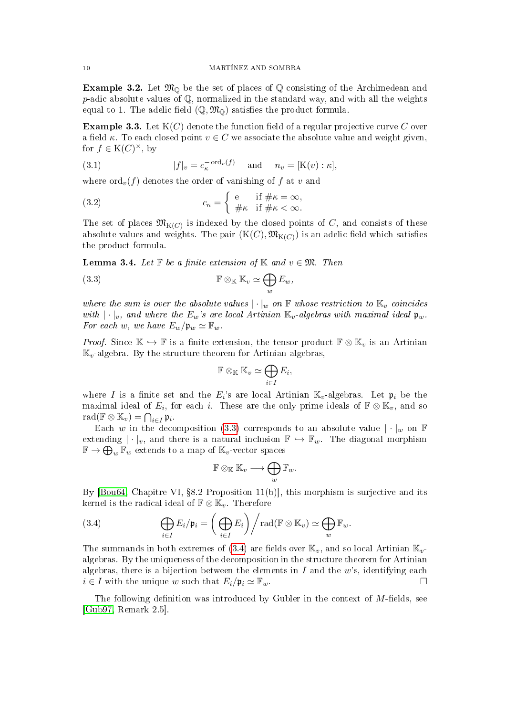**Example 3.2.** Let  $\mathfrak{M}_{\mathbb{Q}}$  be the set of places of  $\mathbb{Q}$  consisting of the Archimedean and  $p$ -adic absolute values of  $\mathbb Q$ , normalized in the standard way, and with all the weights equal to 1. The adelic field  $(\mathbb{Q}, \mathfrak{M}_{\mathbb{Q}})$  satisfies the product formula.

<span id="page-9-3"></span>**Example 3.3.** Let  $K(C)$  denote the function field of a regular projective curve C over a field  $\kappa$ . To each closed point  $v \in C$  we associate the absolute value and weight given, for  $f \in K(C)^{\times}$ , by

<span id="page-9-4"></span>(3.1) 
$$
|f|_v = c_{\kappa}^{-\text{ord}_v(f)} \quad \text{and} \quad n_v = [K(v) : \kappa],
$$

where  $\text{ord}_v(f)$  denotes the order of vanishing of f at v and

<span id="page-9-5"></span>(3.2) 
$$
c_{\kappa} = \begin{cases} e & \text{if } \# \kappa = \infty, \\ \# \kappa & \text{if } \# \kappa < \infty. \end{cases}
$$

The set of places  $\mathfrak{M}_{\mathrm{K}(C)}$  is indexed by the closed points of C, and consists of these absolute values and weights. The pair  $(\mathrm{K}(C),\mathfrak{M}_{\mathrm{K}(C)})$  is an adelic field which satisfies the product formula.

<span id="page-9-2"></span>**Lemma 3.4.** Let  $\mathbb F$  be a finite extension of  $\mathbb K$  and  $v \in \mathfrak{M}$ . Then

(3.3) 
$$
\mathbb{F} \otimes_{\mathbb{K}} \mathbb{K}_v \simeq \bigoplus_w E_w,
$$

where the sum is over the absolute values  $|\cdot|_w$  on  $\mathbb F$  whose restriction to  $\mathbb K_v$  coincides with  $|\cdot|_v$ , and where the  $E_w$ 's are local Artinian  $\mathbb{K}_v$ -algebras with maximal ideal  $\mathfrak{p}_w$ . For each w, we have  $E_w/\mathfrak{p}_w \simeq \mathbb{F}_w$ .

*Proof.* Since  $\mathbb{K} \hookrightarrow \mathbb{F}$  is a finite extension, the tensor product  $\mathbb{F} \otimes \mathbb{K}_v$  is an Artinian  $\mathbb{K}_v$ -algebra. By the structure theorem for Artinian algebras,

<span id="page-9-0"></span>
$$
\mathbb{F} \otimes_{\mathbb{K}} \mathbb{K}_v \simeq \bigoplus_{i \in I} E_i,
$$

where I is a finite set and the  $E_i$ 's are local Artinian  $\mathbb{K}_v$ -algebras. Let  $\mathfrak{p}_i$  be the maximal ideal of  $E_i$ , for each i. These are the only prime ideals of  $\mathbb{F} \otimes \mathbb{K}_v$ , and so  $\text{rad}(\mathbb{F} \otimes \mathbb{K}_v) = \bigcap_{i \in I} \mathfrak{p}_i.$ 

Each w in the decomposition [\(3.3\)](#page-9-0) corresponds to an absolute value  $|\cdot|_w$  on F extending  $|\cdot|_v$ , and there is a natural inclusion  $\mathbb{F} \hookrightarrow \mathbb{F}_w$ . The diagonal morphism  $\mathbb{F} \to \bigoplus_{w} \overline{\mathbb{F}}_w$  extends to a map of  $\mathbb{K}_v$ -vector spaces

$$
\mathbb{F}\otimes_\mathbb{K} \mathbb{K}_v\longrightarrow \bigoplus_w\mathbb{F}_w.
$$

By  $[Bou64, Chapitre VI, §8.2 Proposition 11(b)], this morphism is surjective and its$  $[Bou64, Chapitre VI, §8.2 Proposition 11(b)], this morphism is surjective and its$ kernel is the radical ideal of  $\mathbb{F} \otimes \mathbb{K}_v$ . Therefore

<span id="page-9-1"></span>(3.4) 
$$
\bigoplus_{i\in I} E_i/\mathfrak{p}_i = \left(\bigoplus_{i\in I} E_i\right) / \mathrm{rad}(\mathbb{F} \otimes \mathbb{K}_v) \simeq \bigoplus_w \mathbb{F}_w.
$$

The summands in both extremes of [\(3.4\)](#page-9-1) are fields over  $\mathbb{K}_v$ , and so local Artinian  $\mathbb{K}_v$ algebras. By the uniqueness of the decomposition in the structure theorem for Artinian algebras, there is a bijection between the elements in  $I$  and the  $w$ 's, identifying each  $i \in I$  with the unique w such that  $E_i/\mathfrak{p}_i \simeq \mathbb{F}_w$ .

The following definition was introduced by Gubler in the context of  $M$ -fields, see [\[Gub97,](#page-32-10) Remark 2.5].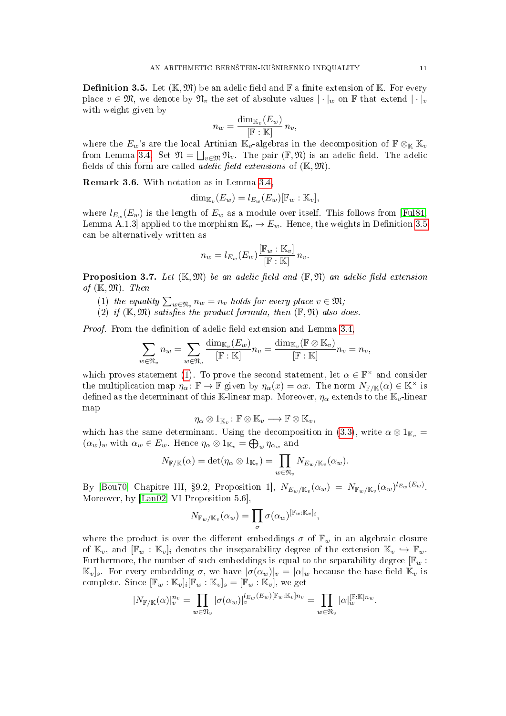<span id="page-10-1"></span>**Definition 3.5.** Let  $(\mathbb{K}, \mathfrak{M})$  be an adelic field and  $\mathbb{F}$  a finite extension of  $\mathbb{K}$ . For every place  $v \in \mathfrak{M}$ , we denote by  $\mathfrak{N}_v$  the set of absolute values  $|\cdot|_w$  on F that extend  $|\cdot|_v$ with weight given by

$$
n_w = \frac{\dim_{\mathbb{K}_v}(E_w)}{[\mathbb{F} : \mathbb{K}]} n_v,
$$

where the  $E_w$ 's are the local Artinian K<sub>v</sub>-algebras in the decomposition of  $\mathbb{F} \otimes_{\mathbb{K}} \mathbb{K}_v$ from Lemma [3.4.](#page-9-2) Set  $\mathfrak{N} = \bigsqcup_{v \in \mathfrak{M}} \mathfrak{N}_v$ . The pair  $(\mathbb{F}, \mathfrak{N})$  is an adelic field. The adelic fields of this form are called *adelic field extensions* of  $(\mathbb{K}, \mathfrak{M})$ .

<span id="page-10-3"></span>Remark 3.6. With notation as in Lemma [3.4,](#page-9-2)

$$
\dim_{\mathbb{K}_v}(E_w) = l_{E_w}(E_w)[\mathbb{F}_w : \mathbb{K}_v],
$$

where  $l_{E_w}(E_w)$  is the length of  $E_w$  as a module over itself. This follows from [\[Ful84,](#page-32-6) Lemma A.1.3] applied to the morphism  $\mathbb{K}_v \to E_w$ . Hence, the weights in Definition [3.5](#page-10-1) can be alternatively written as

$$
n_w = l_{E_w}(E_w) \frac{[\mathbb{F}_w : \mathbb{K}_v]}{[\mathbb{F} : \mathbb{K}]} n_v.
$$

<span id="page-10-0"></span>**Proposition 3.7.** Let  $(\mathbb{K}, \mathfrak{M})$  be an adelic field and  $(\mathbb{F}, \mathfrak{N})$  an adelic field extension of  $(\mathbb{K}, \mathfrak{M})$ . Then

- <span id="page-10-2"></span>(1) the equality  $\sum_{w\in\mathfrak{N}_v}n_w=n_v$  holds for every place  $v\in\mathfrak{M};$
- (2) if  $(\mathbb{K}, \mathfrak{M})$  satisfies the product formula, then  $(\mathbb{F}, \mathfrak{N})$  also does.

*Proof.* From the definition of adelic field extension and Lemma  $3.4$ .

$$
\sum_{w \in \mathfrak{N}_v} n_w = \sum_{w \in \mathfrak{N}_v} \frac{\dim_{\mathbb{K}_v}(E_w)}{[\mathbb{F} : \mathbb{K}]} n_v = \frac{\dim_{\mathbb{K}_v}(\mathbb{F} \otimes \mathbb{K}_v)}{[\mathbb{F} : \mathbb{K}]} n_v = n_v,
$$

which proves statement [\(1\)](#page-10-2). To prove the second statement, let  $\alpha \in \mathbb{F}^{\times}$  and consider the multiplication map  $\eta_{\alpha} : \mathbb{F} \to \mathbb{F}$  given by  $\eta_{\alpha}(x) = \alpha x$ . The norm  $N_{\mathbb{F}/\mathbb{K}}(\alpha) \in \mathbb{K}^{\times}$  is defined as the determinant of this K-linear map. Moreover,  $\eta_{\alpha}$  extends to the K<sub>v</sub>-linear map

$$
\eta_\alpha\otimes 1_{\mathbb{K}_v}\colon \mathbb{F}\otimes \mathbb{K}_v\longrightarrow \mathbb{F}\otimes \mathbb{K}_v,
$$

which has the same determinant. Using the decomposition in [\(3.3\)](#page-9-0), write  $\alpha \otimes 1_{\mathbb{K}_v} =$  $(\alpha_w)_w$  with  $\alpha_w \in E_w$ . Hence  $\eta_\alpha \otimes 1_{\mathbb{K}_v} = \bigoplus_w \eta_{\alpha_w}$  and

$$
N_{\mathbb{F}/\mathbb{K}}(\alpha)=\det(\eta_{\alpha}\otimes 1_{\mathbb{K}_v})=\prod_{w\in\mathfrak{N}_v}N_{E_w/\mathbb{K}_v}(\alpha_w).
$$

By [\[Bou70,](#page-32-11) Chapitre III, §9.2, Proposition 1],  $N_{E_w/\mathbb{K}_v}(\alpha_w) = N_{\mathbb{F}_w/\mathbb{K}_v}(\alpha_w)^{l_{E_w}(E_w)}$ . Moreover, by [\[Lan02,](#page-33-5) VI Proposition 5.6],

$$
N_{\mathbb{F}_w/\mathbb{K}_v}(\alpha_w)=\prod_{\sigma}\sigma(\alpha_w)^{[\mathbb{F}_w:\mathbb{K}_v]_i},
$$

where the product is over the different embeddings  $\sigma$  of  $\mathbb{F}_w$  in an algebraic closure of  $\mathbb{K}_v$ , and  $[\mathbb{F}_w : \mathbb{K}_v]_i$  denotes the inseparability degree of the extension  $\mathbb{K}_v \hookrightarrow \mathbb{F}_w$ . Furthermore, the number of such embeddings is equal to the separability degree  $[\mathbb{F}_w :$  $\mathbb{K}_v$ <sub>s</sub>. For every embedding σ, we have  $|\sigma(\alpha_w)|_v = |\alpha|_w$  because the base field  $\mathbb{K}_v$  is complete. Since  $[\mathbb{F}_w : \mathbb{K}_v]_i [\mathbb{F}_w : \mathbb{K}_v]_s = [\mathbb{F}_w : \mathbb{K}_v]$ , we get

$$
|N_{\mathbb{F}/\mathbb{K}}(\alpha)|_{v}^{n_{v}} = \prod_{w \in \mathfrak{N}_{v}} |\sigma(\alpha_{w})|_{v}^{l_{E_{w}}(E_{w})[\mathbb{F}_{w}:\mathbb{K}_{v}]n_{v}} = \prod_{w \in \mathfrak{N}_{v}} |\alpha|_{w}^{[\mathbb{F}:\mathbb{K}]n_{w}}.
$$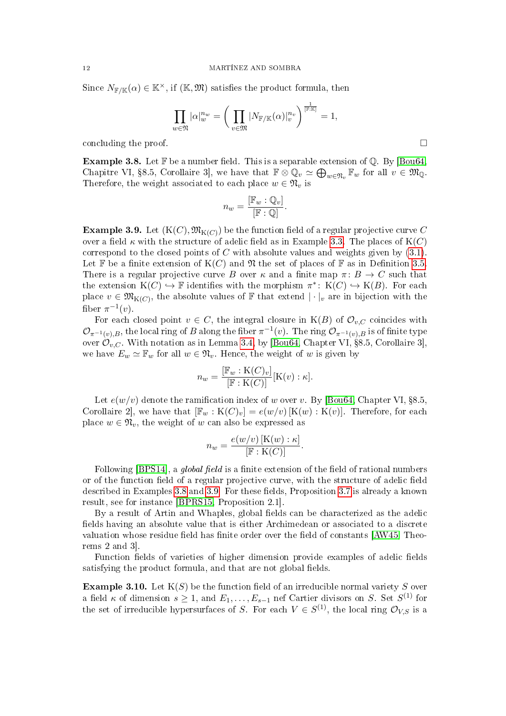Since  $N_{\mathbb{F}/\mathbb{K}}(\alpha) \in \mathbb{K}^{\times}$ , if  $(\mathbb{K}, \mathfrak{M})$  satisfies the product formula, then

$$
\prod_{w \in \mathfrak{N}} |\alpha|_w^{n_w} = \bigg(\prod_{v \in \mathfrak{M}} |N_{\mathbb{F}/\mathbb{K}}(\alpha)|_v^{n_v}\bigg)^{\frac{1}{\mathbb{F} \cdot \mathbb{K}}}=1,
$$

concluding the proof.  $\Box$ 

<span id="page-11-0"></span>**Example 3.8.** Let  $\mathbb{F}$  be a number field. This is a separable extension of  $\mathbb{Q}$ . By [\[Bou64,](#page-32-9) Chapitre VI, §8.5, Corollaire 3, we have that  $\mathbb{F} \otimes \mathbb{Q}_v \simeq \bigoplus_{w \in \mathfrak{N}_v} \mathbb{F}_w$  for all  $v \in \mathfrak{M}_{\mathbb{Q}}$ . Therefore, the weight associated to each place  $w \in \mathfrak{N}_v$  is

$$
n_w = \frac{[\mathbb{F}_w : \mathbb{Q}_v]}{[\mathbb{F} : \mathbb{Q}]}.
$$

<span id="page-11-1"></span> $\bf{Example~3.9.~Let~} (K(C), \mathfrak{M}_{K(C)})$  be the function field of a regular projective curve  $C$ over a field  $\kappa$  with the structure of adelic field as in Example [3.3.](#page-9-3) The places of K(C) correspond to the closed points of C with absolute values and weights given by  $(3.1)$ . Let  $\mathbb F$  be a finite extension of  $K(C)$  and  $\mathfrak N$  the set of places of  $\mathbb F$  as in Definition [3.5.](#page-10-1) There is a regular projective curve B over  $\kappa$  and a finite map  $\pi: B \to C$  such that the extension  $K(C) \hookrightarrow \mathbb{F}$  identifies with the morphism  $\pi^* \colon K(C) \hookrightarrow K(B)$ . For each place  $v \in \mathfrak{M}_{K(C)}$ , the absolute values of F that extend  $|\cdot|_v$  are in bijection with the fiber  $\pi^{-1}(v)$ .

For each closed point  $v \in C$ , the integral closure in  $K(B)$  of  $\mathcal{O}_{v,C}$  coincides with  $\mathcal{O}_{\pi^{-1}(v),B}$ , the local ring of  $B$  along the fiber  $\pi^{-1}(v)$ . The ring  $\mathcal{O}_{\pi^{-1}(v),B}$  is of finite type over  $\mathcal{O}_{v,C}$ . With notation as in Lemma [3.4,](#page-9-2) by [\[Bou64,](#page-32-9) Chapter VI, §8.5, Corollaire 3], we have  $E_w \simeq \mathbb{F}_w$  for all  $w \in \mathfrak{N}_v$ . Hence, the weight of w is given by

$$
n_w = \frac{[\mathbb{F}_w : \mathcal{K}(C)_v]}{[\mathbb{F} : \mathcal{K}(C)]} [\mathcal{K}(v) : \kappa].
$$

Let  $e(w/v)$  denote the ramification index of w over v. By [\[Bou64,](#page-32-9) Chapter VI, §8.5, Corollaire 2, we have that  $[\mathbb{F}_w : K(C)_v] = e(w/v) [K(w) : K(v)]$ . Therefore, for each place  $w \in \mathfrak{N}_v$ , the weight of w can also be expressed as

$$
n_w = \frac{e(w/v) \left[ \mathbf{K}(w) : \kappa \right]}{\left[ \mathbb{F} : \mathbf{K}(C) \right]}.
$$

Following [\[BPS14\]](#page-32-4), a *global field* is a finite extension of the field of rational numbers or of the function field of a regular projective curve, with the structure of adelic field described in Examples [3.8](#page-11-0) and [3.9.](#page-11-1) For these fields, Proposition [3.7](#page-10-0) is already a known result, see for instance [\[BPRS15,](#page-32-12) Proposition 2.1].

By a result of Artin and Whaples, global fields can be characterized as the adelic fields having an absolute value that is either Archimedean or associated to a discrete valuation whose residue field has finite order over the field of constants [\[AW45,](#page-32-13) Theorems 2 and 3].

Function fields of varieties of higher dimension provide examples of adelic fields satisfying the product formula, and that are not global fields.

**Example 3.10.** Let  $K(S)$  be the function field of an irreducible normal variety S over a field  $\kappa$  of dimension  $s \geq 1$ , and  $E_1, \ldots, E_{s-1}$  nef Cartier divisors on S. Set  $S^{(1)}$  for the set of irreducible hypersurfaces of S. For each  $V \in S^{(1)}$ , the local ring  $\mathcal{O}_{V,S}$  is a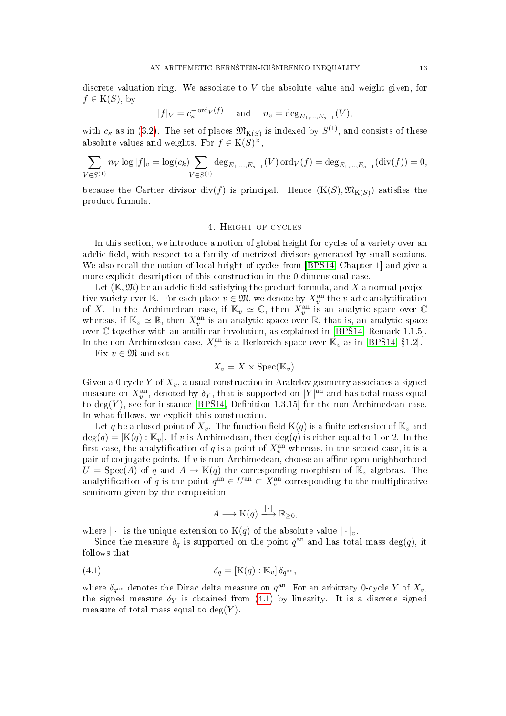discrete valuation ring. We associate to  $V$  the absolute value and weight given, for  $f \in K(S)$ , by

$$
|f|_V = c_{\kappa}^{-\text{ord}_V(f)}
$$
 and  $n_v = \deg_{E_1,...,E_{s-1}}(V)$ ,

with  $c_{\kappa}$  as in [\(3.2\)](#page-9-5). The set of places  $\mathfrak{M}_{K(S)}$  is indexed by  $S^{(1)}$ , and consists of these absolute values and weights. For  $f \in K(S)^\times$ ,

$$
\sum_{V \in S^{(1)}} n_V \log |f|_v = \log(c_k) \sum_{V \in S^{(1)}} \deg_{E_1, \dots, E_{s-1}}(V) \operatorname{ord}_V(f) = \deg_{E_1, \dots, E_{s-1}}(\operatorname{div}(f)) = 0,
$$

because the Cartier divisor  $\text{div}(f)$  is principal. Hence  $(K(S), \mathfrak{M}_{K(S)})$  satisfies the product formula.

### 4. Height of cycles

<span id="page-12-0"></span>In this section, we introduce a notion of global height for cycles of a variety over an adelic field, with respect to a family of metrized divisors generated by small sections. We also recall the notion of local height of cycles from [\[BPS14,](#page-32-4) Chapter 1] and give a more explicit description of this construction in the 0-dimensional case.

Let  $(K, \mathfrak{M})$  be an adelic field satisfying the product formula, and X a normal projective variety over K. For each place  $v \in \mathfrak{M}$ , we denote by  $X_v^{\text{an}}$  the v-adic analytification of X. In the Archimedean case, if  $\mathbb{K}_v \simeq \mathbb{C}$ , then  $X_v^{\text{an}}$  is an analytic space over  $\mathbb{C}$ whereas, if  $\mathbb{K}_v \simeq \mathbb{R}$ , then  $X_v^{\text{an}}$  is an analytic space over  $\mathbb{R}$ , that is, an analytic space over C together with an antilinear involution, as explained in [\[BPS14,](#page-32-4) Remark 1.1.5]. In the non-Archimedean case,  $X_v^{\text{an}}$  is a Berkovich space over  $\mathbb{K}_v$  as in [\[BPS14,](#page-32-4) §1.2].

Fix  $v \in \mathfrak{M}$  and set

$$
X_v = X \times \text{Spec}(\mathbb{K}_v).
$$

Given a 0-cycle Y of  $X_v$ , a usual construction in Arakelov geometry associates a signed measure on  $X_v^{\text{an}}$ , denoted by  $\delta_Y$ , that is supported on  $|Y|^{\text{an}}$  and has total mass equal to  $deg(Y)$ , see for instance [\[BPS14,](#page-32-4) Definition 1.3.15] for the non-Archimedean case. In what follows, we explicit this construction.

Let q be a closed point of  $X_v$ . The function field  $K(q)$  is a finite extension of  $K_v$  and  $deg(q) = [K(q) : \mathbb{K}_v]$ . If v is Archimedean, then  $deg(q)$  is either equal to 1 or 2. In the first case, the analytification of  $q$  is a point of  $X_v^{\text{an}}$  whereas, in the second case, it is a pair of conjugate points. If  $v$  is non-Archimedean, choose an affine open neighborhood  $U = \text{Spec}(A)$  of q and  $A \to \text{K}(q)$  the corresponding morphism of  $\mathbb{K}_v$ -algebras. The analytification of q is the point  $q^{\text{an}} \in U^{\text{an}} \subset X_v^{\text{an}}$  corresponding to the multiplicative seminorm given by the composition

<span id="page-12-1"></span>
$$
A \longrightarrow \mathrm{K}(q) \xrightarrow{| \cdot |} \mathbb{R}_{\geq 0},
$$

where  $|\cdot|$  is the unique extension to  $K(q)$  of the absolute value  $|\cdot|_v$ .

Since the measure  $\delta_q$  is supported on the point  $q^{\text{an}}$  and has total mass deg(q), it follows that

(4.1) 
$$
\delta_q = [\mathbf{K}(q) : \mathbb{K}_v] \, \delta_{q^{\text{an}}},
$$

where  $\delta_{q^{\text{an}}}$  denotes the Dirac delta measure on  $q^{\text{an}}$ . For an arbitrary 0-cycle Y of  $X_v$ , the signed measure  $\delta_Y$  is obtained from [\(4.1\)](#page-12-1) by linearity. It is a discrete signed measure of total mass equal to  $deg(Y)$ .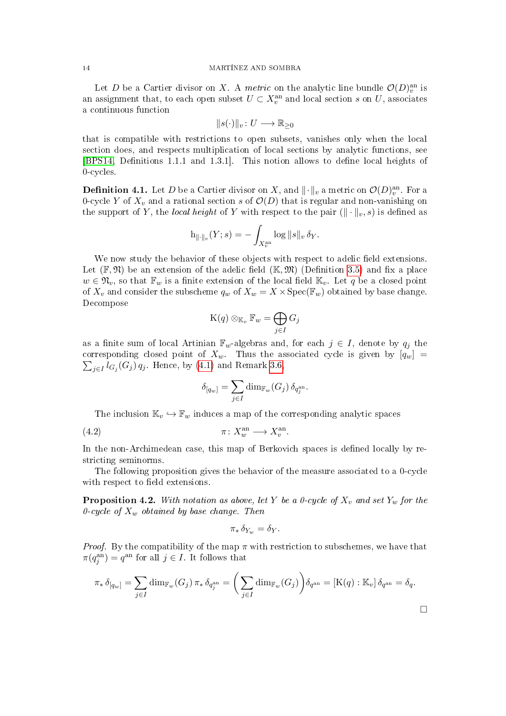#### 14 MARTÍNEZ AND SOMBRA

Let D be a Cartier divisor on X. A metric on the analytic line bundle  $\mathcal{O}(D)_{v}^{\text{an}}$  is an assignment that, to each open subset  $U \subset X_v^{\text{an}}$  and local section s on  $U$ , associates a continuous function

$$
||s(\cdot)||_v \colon U \longrightarrow \mathbb{R}_{\geq 0}
$$

that is compatible with restrictions to open subsets, vanishes only when the local section does, and respects multiplication of local sections by analytic functions, see [\[BPS14,](#page-32-4) Definitions 1.1.1 and 1.3.1]. This notion allows to define local heights of 0-cycles.

<span id="page-13-2"></span>**Definition 4.1.** Let  $D$  be a Cartier divisor on  $X$ , and  $\|\cdot\|_v$  a metric on  $\mathcal{O}(D)^{\mathrm{an}}_v$ . For a 0-cycle Y of  $X_v$  and a rational section s of  $\mathcal{O}(D)$  that is regular and non-vanishing on the support of Y, the local height of Y with respect to the pair  $(\|\cdot\|_v, s)$  is defined as

$$
\mathrm{h}_{\|\cdot\|_v}(Y;s)=-\int_{X_v^\mathrm{an}}\log\|s\|_v\,\delta_Y.
$$

We now study the behavior of these objects with respect to adelic field extensions. Let  $(\mathbb{F}, \mathfrak{N})$  be an extension of the adelic field  $(\mathbb{K}, \mathfrak{M})$  (Definition [3.5\)](#page-10-1) and fix a place  $w \in \mathfrak{N}_v$ , so that  $\mathbb{F}_w$  is a finite extension of the local field  $\mathbb{K}_v$ . Let q be a closed point of  $X_v$  and consider the subscheme  $q_w$  of  $X_w = X \times \operatorname{Spec}(\mathbb{F}_w)$  obtained by base change. Decompose

$$
\mathrm{K}(q)\otimes_{\mathbb{K}_v}\mathbb{F}_w=\bigoplus_{j\in I}G_j
$$

as a finite sum of local Artinian  $\mathbb{F}_w$ -algebras and, for each  $j \in I$ , denote by  $q_j$  the corresponding closed point of  $X_w$ . Thus the associated cycle is given by  $[q_w]$  =  $\sum_{j\in I} l_{G_j}(G_j) \, q_j$ . Hence, by [\(4.1\)](#page-12-1) and Remark [3.6,](#page-10-3)

<span id="page-13-0"></span>
$$
\delta_{[q_w]} = \sum_{j \in I} \dim_{\mathbb{F}_w}(G_j) \, \delta_{q_j^{\mathrm{an}}}.
$$

The inclusion  $\mathbb{K}_v \hookrightarrow \mathbb{F}_w$  induces a map of the corresponding analytic spaces

$$
\pi \colon X_w^{\text{an}} \longrightarrow X_v^{\text{an}}.
$$

In the non-Archimedean case, this map of Berkovich spaces is defined locally by restricting seminorms.

The following proposition gives the behavior of the measure associated to a 0-cycle with respect to field extensions.

<span id="page-13-1"></span>**Proposition 4.2.** With notation as above, let Y be a 0-cycle of  $X_v$  and set  $Y_w$  for the 0-cycle of  $X_w$  obtained by base change. Then

$$
\pi_* \, \delta_{Y_w} = \delta_Y.
$$

*Proof.* By the compatibility of the map  $\pi$  with restriction to subschemes, we have that  $\pi(q_j^{\text{an}}) = q^{\text{an}}$  for all  $j \in I$ . It follows that

$$
\pi_* \delta_{[q_w]} = \sum_{j \in I} \dim_{\mathbb{F}_w}(G_j) \pi_* \delta_{q_j^{\text{an}}} = \left(\sum_{j \in I} \dim_{\mathbb{F}_w}(G_j)\right) \delta_{q^{\text{an}}} = [K(q) : \mathbb{K}_v] \delta_{q^{\text{an}}} = \delta_q.
$$

 $\Box$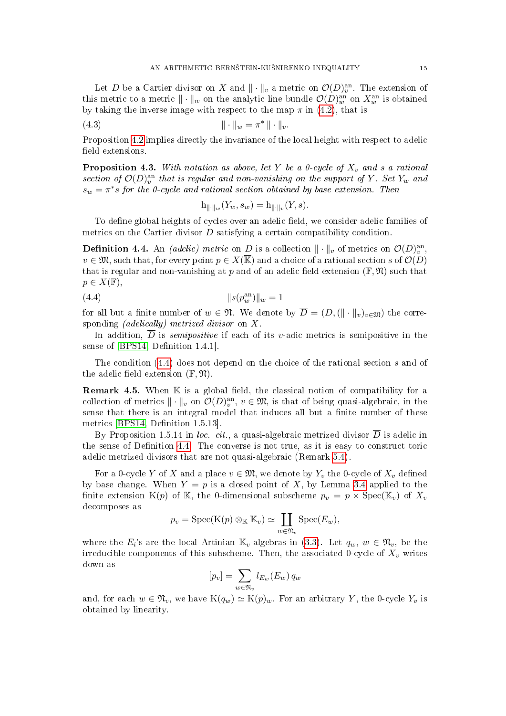Let D be a Cartier divisor on X and  $\|\cdot\|_v$  a metric on  $\mathcal{O}(D)_{v}^{\text{an}}$ . The extension of this metric to a metric  $\|\cdot\|_w$  on the analytic line bundle  $\mathcal{O}(D)_{w}^{\text{an}}$  on  $X_{w}^{\text{an}}$  is obtained by taking the inverse image with respect to the map  $\pi$  in [\(4.2\)](#page-13-0), that is

(4.3) 
$$
\|\cdot\|_w = \pi^* \|\cdot\|_v.
$$

Proposition [4.2](#page-13-1) implies directly the invariance of the local height with respect to adelic field extensions.

<span id="page-14-3"></span>**Proposition 4.3.** With notation as above, let Y be a 0-cycle of  $X_v$  and s a rational section of  $\mathcal{O}(D)_{v}^{\text{an}}$  that is regular and non-vanishing on the support of Y. Set Y<sub>w</sub> and  $s_w = \pi^*s$  for the 0-cycle and rational section obtained by base extension. Then

<span id="page-14-2"></span><span id="page-14-0"></span>
$$
h_{\|\cdot\|_w}(Y_w, s_w) = h_{\|\cdot\|_v}(Y, s).
$$

To define global heights of cycles over an adelic field, we consider adelic families of metrics on the Cartier divisor  $D$  satisfying a certain compatibility condition.

<span id="page-14-1"></span>**Definition 4.4.** An *(adelic)* metric on D is a collection  $\|\cdot\|_v$  of metrics on  $\mathcal{O}(D_v^{\text{an}},$  $v \in \mathfrak{M}$ , such that, for every point  $p \in X(\overline{\mathbb{K}})$  and a choice of a rational section s of  $\mathcal{O}(D)$ that is regular and non-vanishing at p and of an adelic field extension  $(\mathbb{F}, \mathfrak{N})$  such that  $p \in X(\mathbb{F}),$ 

(4.4) 
$$
||s(p_w^{\text{an}})||_w = 1
$$

for all but a finite number of  $w \in \mathfrak{N}$ . We denote by  $\overline{D} = (D, (\|\cdot\|_v)_{v \in \mathfrak{M}})$  the corresponding (adelically) metrized divisor on X.

In addition,  $\overline{D}$  is *semipositive* if each of its v-adic metrics is semipositive in the sense of [\[BPS14,](#page-32-4) Definition 1.4.1].

The condition [\(4.4\)](#page-14-0) does not depend on the choice of the rational section s and of the adelic field extension  $(\mathbb{F}, \mathfrak{N})$ .

**Remark 4.5.** When  $\mathbb K$  is a global field, the classical notion of compatibility for a collection of metrics  $\|\cdot\|_v$  on  $\mathcal{O}(D_v^{\text{an}}, v \in \mathfrak{M}, \text{ is that of being quasi-algebraic, in the }$ sense that there is an integral model that induces all but a finite number of these metrics [\[BPS14,](#page-32-4) Definition 1.5.13].

By Proposition 1.5.14 in loc. cit., a quasi-algebraic metrized divisor  $\overline{D}$  is adelic in the sense of Definition  $4.4$ . The converse is not true, as it is easy to construct toric adelic metrized divisors that are not quasi-algebraic (Remark [5.4\)](#page-21-0).

For a 0-cycle Y of X and a place  $v \in \mathfrak{M}$ , we denote by  $Y_v$  the 0-cycle of  $X_v$  defined by base change. When  $Y = p$  is a closed point of X, by Lemma [3.4](#page-9-2) applied to the finite extension K(p) of K, the 0-dimensional subscheme  $p_v = p \times \text{Spec}(\mathbb{K}_v)$  of  $X_v$ decomposes as

$$
p_v = \operatorname{Spec}(\mathrm{K}(p) \otimes_{\mathbb{K}} \mathbb{K}_v) \simeq \coprod_{w \in \mathfrak{N}_v} \operatorname{Spec}(E_w),
$$

where the  $E_i$ 's are the local Artinian  $\mathbb{K}_v$ -algebras in [\(3.3\)](#page-9-0). Let  $q_w, w \in \mathfrak{N}_v$ , be the irreducible components of this subscheme. Then, the associated 0-cycle of  $X_v$  writes down as

$$
[p_v] = \sum_{w \in \mathfrak{N}_v} l_{E_w}(E_w) q_w
$$

and, for each  $w \in \mathfrak{N}_v$ , we have  $K(q_w) \simeq K(p)_w$ . For an arbitrary Y, the 0-cycle  $Y_v$  is obtained by linearity.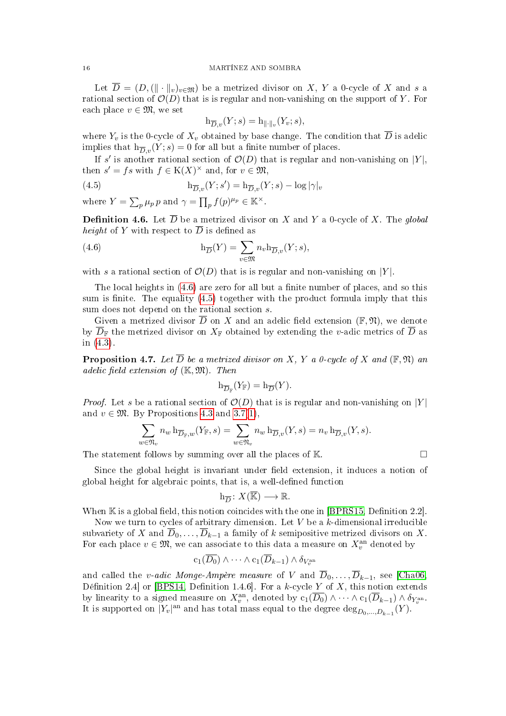#### 16 MARTÍNEZ AND SOMBRA

Let  $\overline{D} = (D, (\|\cdot\|_v)_{v \in \mathfrak{M}})$  be a metrized divisor on X, Y a 0-cycle of X and s a rational section of  $\mathcal{O}(D)$  that is is regular and non-vanishing on the support of Y. For each place  $v \in \mathfrak{M}$ , we set

<span id="page-15-1"></span>
$$
\mathrm{h}_{\overline{D},v}(Y;s)=\mathrm{h}_{\|\cdot\|_v}(Y_v;s),
$$

where  $Y_v$  is the 0-cycle of  $X_v$  obtained by base change. The condition that  $\overline{D}$  is adelic implies that  $h_{\overline{D}_v}(Y; s) = 0$  for all but a finite number of places.

If s' is another rational section of  $\mathcal{O}(D)$  that is regular and non-vanishing on |Y|, then  $s' = fs$  with  $f \in K(X)^\times$  and, for  $v \in \mathfrak{M}$ ,

(4.5) 
$$
\mathrm{h}_{\overline{D},v}(Y;s') = \mathrm{h}_{\overline{D},v}(Y;s) - \log|\gamma|_v
$$

where  $Y = \sum_p \mu_p p$  and  $\gamma = \prod_p f(p)^{\mu_p} \in \mathbb{K}^\times$ .

**Definition 4.6.** Let  $\overline{D}$  be a metrized divisor on X and Y a 0-cycle of X. The global *height* of Y with respect to  $\overline{D}$  is defined as

<span id="page-15-0"></span>(4.6) 
$$
h_{\overline{D}}(Y) = \sum_{v \in \mathfrak{M}} n_v h_{\overline{D}, v}(Y; s),
$$

with s a rational section of  $\mathcal{O}(D)$  that is is regular and non-vanishing on |Y|.

The local heights in  $(4.6)$  are zero for all but a finite number of places, and so this sum is finite. The equality  $(4.5)$  together with the product formula imply that this sum does not depend on the rational section s.

Given a metrized divisor  $\overline{D}$  on X and an adelic field extension  $(\mathbb{F}, \mathfrak{N})$ , we denote by  $\overline{D}_{\mathbb{F}}$  the metrized divisor on  $X_{\mathbb{F}}$  obtained by extending the v-adic metrics of  $\overline{D}$  as in [\(4.3\)](#page-14-2).

**Proposition 4.7.** Let  $\overline{D}$  be a metrized divisor on X, Y a 0-cycle of X and ( $\mathbb{F}, \mathfrak{N}$ ) and adelic field extension of  $(K, \mathfrak{M})$ . Then

$$
\mathrm{h}_{\overline{D}_{\mathbb{F}}}(Y_{\mathbb{F}})=\mathrm{h}_{\overline{D}}(Y).
$$

*Proof.* Let s be a rational section of  $\mathcal{O}(D)$  that is is regular and non-vanishing on |Y| and  $v \in \mathfrak{M}$ . By Propositions [4.3](#page-14-3) and [3.7](#page-10-0)[\(1\)](#page-10-2),

$$
\sum_{w \in \mathfrak{N}_v} n_w \mathop{}\!\mathrm{h}_{\overline{D}_{\mathbb{F}},w}(Y_{\mathbb{F}},s) = \sum_{w \in \mathfrak{N}_v} n_w \mathop{}\!\mathrm{h}_{\overline{D},v}(Y,s) = n_v \mathop{}\!\mathrm{h}_{\overline{D},v}(Y,s).
$$

The statement follows by summing over all the places of  $\mathbb{K}$ .

Since the global height is invariant under field extension, it induces a notion of global height for algebraic points, that is, a well-defined function

$$
h_{\overline{D}}\colon X(\overline{\mathbb{K}})\longrightarrow \mathbb{R}.
$$

When  $\mathbb K$  is a global field, this notion coincides with the one in [\[BPRS15,](#page-32-12) Definition 2.2]. Now we turn to cycles of arbitrary dimension. Let  $V$  be a  $k$ -dimensional irreducible subvariety of X and  $\overline{D}_0, \ldots, \overline{D}_{k-1}$  a family of k semipositive metrized divisors on X.

For each place  $v \in \mathfrak{M}$ , we can associate to this data a measure on  $X_v^{\text{an}}$  denoted by

$$
c_1(D_0) \wedge \cdots \wedge c_1(D_{k-1}) \wedge \delta_{V_v^{\mathrm{an}}}
$$

and called the v-adic Monge-Ampère measure of V and  $\overline{D}_0, \ldots, \overline{D}_{k-1}$ , see [\[Cha06,](#page-32-14) Définition 2.4 or [\[BPS14,](#page-32-4) Definition 1.4.6]. For a k-cycle Y of X, this notion extends by linearity to a signed measure on  $X_v^{\text{an}}$ , denoted by  $c_1(\overline{D_0}) \wedge \cdots \wedge c_1(\overline{D}_{k-1}) \wedge \delta_{Y_v^{\text{an}}}.$ It is supported on  $|Y_v|$ <sup>an</sup> and has total mass equal to the degree  $\text{deg}_{D_0,...,D_{k-1}}(Y)$ .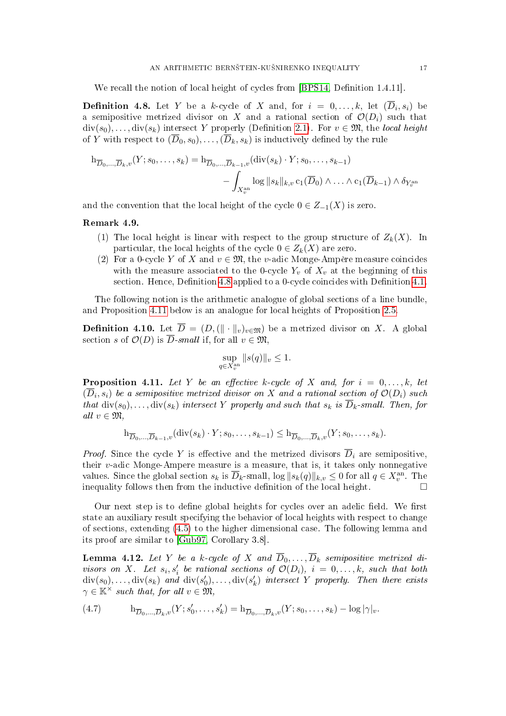We recall the notion of local height of cycles from [\[BPS14,](#page-32-4) Definition 1.4.11].

<span id="page-16-0"></span>**Definition 4.8.** Let Y be a k-cycle of X and, for  $i = 0, ..., k$ , let  $(D_i, s_i)$  be a semipositive metrized divisor on X and a rational section of  $\mathcal{O}(D_i)$  such that  $div(s_0), \ldots, div(s_k)$  intersect Y properly (Definition [2.1\)](#page-5-1). For  $v \in \mathfrak{M}$ , the local height of Y with respect to  $(\overline{D}_0, s_0), \ldots, (\overline{D}_k, s_k)$  is inductively defined by the rule

$$
h_{\overline{D}_0,\ldots,\overline{D}_k,v}(Y;s_0,\ldots,s_k) = h_{\overline{D}_0,\ldots,\overline{D}_{k-1},v}(\text{div}(s_k)\cdot Y;s_0,\ldots,s_{k-1})
$$

$$
-\int_{X_v^{\text{an}}} \log ||s_k||_{k,v} c_1(\overline{D}_0) \wedge \ldots \wedge c_1(\overline{D}_{k-1}) \wedge \delta_{Y_v^{\text{an}}}
$$

and the convention that the local height of the cycle  $0 \in Z_{-1}(X)$  is zero.

## Remark 4.9.

- (1) The local height is linear with respect to the group structure of  $Z_k(X)$ . In particular, the local heights of the cycle  $0 \in Z_k(X)$  are zero.
- (2) For a 0-cycle Y of X and  $v \in \mathfrak{M}$ , the v-adic Monge-Ampère measure coincides with the measure associated to the 0-cycle  $Y_v$  of  $X_v$  at the beginning of this section. Hence, Definition  $4.8$  applied to a 0-cycle coincides with Definition  $4.1$ .

The following notion is the arithmetic analogue of global sections of a line bundle, and Proposition [4.11](#page-16-1) below is an analogue for local heights of Proposition [2.5.](#page-6-3)

**Definition 4.10.** Let  $\overline{D} = (D, (\|\cdot\|_v)_{v \in \mathfrak{M}})$  be a metrized divisor on X. A global section s of  $\mathcal{O}(D)$  is  $\overline{D}$ -small if, for all  $v \in \mathfrak{M}$ ,

$$
\sup_{q \in X_v^{\text{an}}} \|s(q)\|_v \le 1.
$$

<span id="page-16-1"></span>**Proposition 4.11.** Let Y be an effective k-cycle of X and, for  $i = 0, \ldots, k$ , let  $(D_i,s_i)$  be a semipositive metrized divisor on X and a rational section of  $\mathcal{O}(D_i)$  such that  $div(s_0), \ldots, div(s_k)$  intersect Y properly and such that  $s_k$  is  $\overline{D}_k$ -small. Then, for all  $v \in \mathfrak{M}$ ,

$$
\mathrm{h}_{\overline{D}_0,\ldots,\overline{D}_{k-1},v}(\mathrm{div}(s_k)\cdot Y;s_0,\ldots,s_{k-1})\leq \mathrm{h}_{\overline{D}_0,\ldots,\overline{D}_k,v}(Y;s_0,\ldots,s_k).
$$

*Proof.* Since the cycle Y is effective and the metrized divisors  $\overline{D}_i$  are semipositive, their  $v$ -adic Monge-Ampere measure is a measure, that is, it takes only nonnegative values. Since the global section  $s_k$  is  $\overline{D}_k$ -small,  $\log ||s_k(q)||_{k,v} \leq 0$  for all  $q \in X_v^{\text{an}}$ . The inequality follows then from the inductive definition of the local height.

Our next step is to define global heights for cycles over an adelic field. We first state an auxiliary result specifying the behavior of local heights with respect to change of sections, extending [\(4.5\)](#page-15-1) to the higher dimensional case. The following lemma and its proof are similar to [\[Gub97,](#page-32-10) Corollary 3.8].

<span id="page-16-3"></span>**Lemma 4.12.** Let Y be a k-cycle of X and  $\overline{D}_0, \ldots, \overline{D}_k$  semipositive metrized divisors on X. Let  $s_i, s'_i$  be rational sections of  $\mathcal{O}(D_i)$ ,  $i = 0, \ldots, k$ , such that both  $\mathrm{div}(s_0), \ldots, \mathrm{div}(s_k)$  and  $\mathrm{div}(s'_0), \ldots, \mathrm{div}(s'_k)$  intersect Y properly. Then there exists  $\gamma \in \mathbb{K}^\times$  such that, for all  $v \in \mathfrak{M}$ ,

<span id="page-16-2"></span>
$$
(4.7) \qquad \qquad \mathbf{h}_{\overline{D}_0,\ldots,\overline{D}_k,v}(Y;s'_0,\ldots,s'_k) = \mathbf{h}_{\overline{D}_0,\ldots,\overline{D}_k,v}(Y;s_0,\ldots,s_k) - \log|\gamma|_v.
$$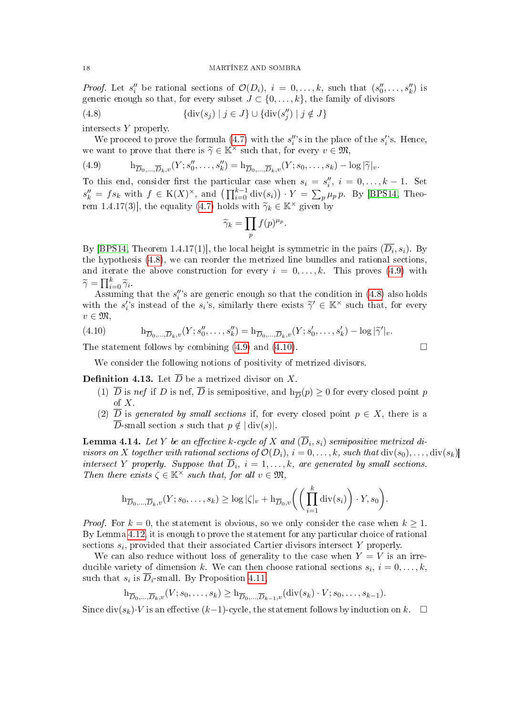*Proof.* Let  $s''_i$  be rational sections of  $\mathcal{O}(D_i)$ ,  $i = 0, \ldots, k$ , such that  $(s''_0, \ldots, s''_k)$  is generic enough so that, for every subset  $J \subset \{0, \ldots, k\}$ , the family of divisors

<span id="page-17-0"></span>(4.8) 
$$
\{\text{div}(s_j) \mid j \in J\} \cup \{\text{div}(s_j'') \mid j \notin J\}
$$

intersects Y properly.

We proceed to prove the formula [\(4.7\)](#page-16-2) with the  $s_i''$ 's in the place of the  $s_i'$ 's. Hence, we want to prove that there is  $\widetilde{\gamma} \in \mathbb{K}^{\times}$  such that, for every  $v \in \mathfrak{M}$ ,<br>
(4.9)  $h_{\overline{D}} = \overline{D}_{\infty}(Y; s_0'', \ldots, s_k'') = h_{\overline{D}} = \overline{D}_{\infty}(Y; s_0, \ldots, s_k) - 1$ 

<span id="page-17-1"></span>(4.9)  $h_{\overline{D}_0,...,\overline{D}_k,v}(Y; s''_0,...,s''_k) = h_{\overline{D}_0,...,\overline{D}_k,v}(Y; s_0,...,s_k) - \log |\tilde{\gamma}|_v.$ 

To this end, consider first the particular case when  $s_i = s''_i, i = 0, \ldots, k - 1$ . Set  $s_k'' = fs_k$  with  $f \in K(X)^\times$ , and  $\left(\prod_{i=0}^{k-1} \text{div}(s_i)\right) \cdot Y = \sum_p \mu_p p$ . By [\[BPS14,](#page-32-4) Theo-rem 1.4.17(3)], the equality [\(4.7\)](#page-16-2) holds with  $\widetilde{\gamma}_k \in \mathbb{K}^\times$  given by

$$
\widetilde{\gamma}_k = \prod_p f(p)^{\mu_p}.
$$

By [\[BPS14,](#page-32-4) Theorem 1.4.17(1)], the local height is symmetric in the pairs  $(D_i, s_i)$ . By the hypothesis [\(4.8\)](#page-17-0), we can reorder the metrized line bundles and rational sections, and iterate the above construction for every  $i = 0, \ldots, k$ . This proves [\(4.9\)](#page-17-1) with  $\widetilde{\gamma} = \prod_{i=0}^k \widetilde{\gamma}_i.$ 

Assuming that the  $s_i''$ 's are generic enough so that the condition in [\(4.8\)](#page-17-0) also holds with the  $s'_i$ 's instead of the  $s_i$ 's, similarly there exists  $\widetilde{\gamma}' \in \mathbb{K}^\times$  such that, for every  $v \in \mathfrak{M},$ 

<span id="page-17-2"></span>(4.10) 
$$
h_{\overline{D}_0,...,\overline{D}_k,v}(Y;s_0'',...,s_k'') = h_{\overline{D}_0,...,\overline{D}_k,v}(Y;s_0',...,s_k') - \log |\tilde{\gamma}'|_v.
$$

The statement follows by combining  $(4.9)$  and  $(4.10)$ .

We consider the following notions of positivity of metrized divisors.

**Definition 4.13.** Let  $\overline{D}$  be a metrized divisor on X.

- (1) D is nef if D is nef, D is semipositive, and  $h_{\overline{D}}(p) \ge 0$  for every closed point p of X.
- (2)  $\overline{D}$  is generated by small sections if, for every closed point  $p \in X$ , there is a  $\overline{D}$ -small section s such that  $p \notin |$  div(s).

<span id="page-17-3"></span>**Lemma 4.14.** Let  $Y$  be an effective k-cycle of  $X$  and  $(D_i,s_i)$  semipositive metrized divisors on X together with rational sections of  $\mathcal{O}(D_i)$ ,  $i = 0, \ldots, k$ , such that  $\text{div}(s_0), \ldots, \text{div}(s_k)$ intersect Y properly. Suppose that  $\overline{D}_i$ ,  $i = 1, \ldots, k$ , are generated by small sections. Then there exists  $\zeta \in \mathbb{K}^\times$  such that, for all  $v \in \mathfrak{M}$ ,

$$
\mathrm{h}_{\overline{D}_0,\ldots,\overline{D}_k,v}(Y;s_0,\ldots,s_k)\geq \log|\zeta|_v+\mathrm{h}_{\overline{D}_0,v}\bigg(\bigg(\prod_{i=1}^k\mathrm{div}(s_i)\bigg)\cdot Y,s_0\bigg).
$$

*Proof.* For  $k = 0$ , the statement is obvious, so we only consider the case when  $k \geq 1$ . By Lemma [4.12,](#page-16-3) it is enough to prove the statement for any particular choice of rational sections  $s_i$ , provided that their associated Cartier divisors intersect Y properly.

We can also reduce without loss of generality to the case when  $Y = V$  is an irreducible variety of dimension k. We can then choose rational sections  $s_i$ ,  $i = 0, \ldots, k$ , such that  $s_i$  is  $D_i$ -small. By Proposition [4.11,](#page-16-1)

$$
\mathrm{h}_{\overline{D}_0,\ldots,\overline{D}_k,v}(V;s_0,\ldots,s_k)\geq \mathrm{h}_{\overline{D}_0,\ldots,\overline{D}_{k-1},v}(\mathrm{div}(s_k)\cdot V;s_0,\ldots,s_{k-1}).
$$

Since  $div(s_k)\cdot V$  is an effective  $(k-1)$ -cycle, the statement follows by induction on k.  $\square$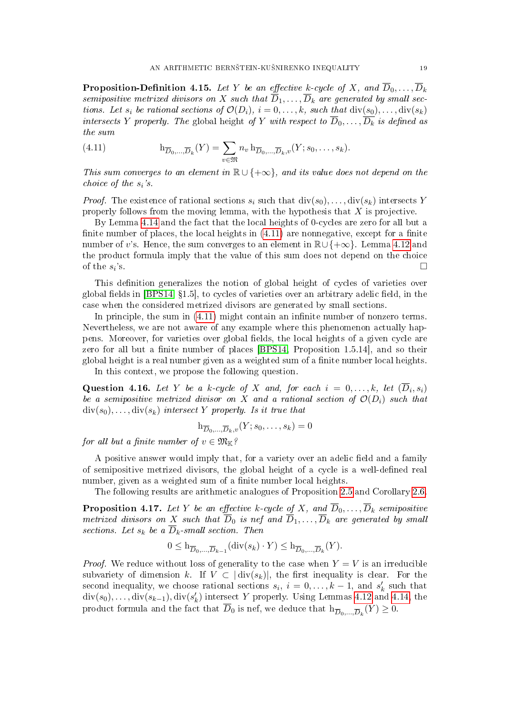<span id="page-18-0"></span>**Proposition-Definition 4.15.** Let Y be an effective k-cycle of X, and  $\overline{D}_0, \ldots, \overline{D}_k$ semipositive metrized divisors on X such that  $\overline{D}_1, \ldots, \overline{D}_k$  are generated by small sections. Let  $s_i$  be rational sections of  $\mathcal{O}(D_i)$ ,  $i = 0, \ldots, k$ , such that  $\text{div}(s_0), \ldots, \text{div}(s_k)$ intersects Y properly. The global height of Y with respect to  $\overline{D}_0, \ldots, \overline{D_k}$  is defined as the sum

<span id="page-18-1"></span>(4.11) 
$$
\mathbf{h}_{\overline{D}_0,\ldots,\overline{D}_k}(Y) = \sum_{v \in \mathfrak{M}} n_v \mathbf{h}_{\overline{D}_0,\ldots,\overline{D}_k,v}(Y; s_0,\ldots,s_k).
$$

This sum converges to an element in  $\mathbb{R} \cup \{\pm \infty\}$ , and its value does not depend on the choice of the  $s_i$ 's.

*Proof.* The existence of rational sections  $s_i$  such that  $\text{div}(s_0), \ldots, \text{div}(s_k)$  intersects Y properly follows from the moving lemma, with the hypothesis that  $X$  is projective.

By Lemma [4.14](#page-17-3) and the fact that the local heights of 0-cycles are zero for all but a finite number of places, the local heights in  $(4.11)$  are nonnegative, except for a finite number of v's. Hence, the sum converges to an element in  $\mathbb{R}\cup\{\pm\infty\}$ . Lemma [4.12](#page-16-3) and the product formula imply that the value of this sum does not depend on the choice of the  $s_i$ 's.  $\mathbf{s}$ .

This definition generalizes the notion of global height of cycles of varieties over global fields in  $[BPS14, \{1.5\},\$  $[BPS14, \{1.5\},\$ to cycles of varieties over an arbitrary adelic field, in the case when the considered metrized divisors are generated by small sections.

In principle, the sum in  $(4.11)$  might contain an infinite number of nonzero terms. Nevertheless, we are not aware of any example where this phenomenon actually happens. Moreover, for varieties over global fields, the local heights of a given cycle are zero for all but a finite number of places  $[BPS14, Proposition 1.5.14]$  $[BPS14, Proposition 1.5.14]$ , and so their global height is a real number given as a weighted sum of a finite number local heights.

In this context, we propose the following question.

**Question 4.16.** Let Y be a k-cycle of X and, for each  $i = 0, \ldots, k$ , let  $(D_i, s_i)$ be a semipositive metrized divisor on X and a rational section of  $\mathcal{O}(D_i)$  such that  $div(s_0), \ldots, div(s_k)$  intersect Y properly. Is it true that

$$
\mathbf{h}_{\overline{D}_0,\ldots,\overline{D}_k,v}(Y;s_0,\ldots,s_k)=0
$$

for all but a finite number of  $v \in \mathfrak{M}_{\mathbb{K}}$ ?

A positive answer would imply that, for a variety over an adelic field and a family of semipositive metrized divisors, the global height of a cycle is a well-dened real number, given as a weighted sum of a finite number local heights.

The following results are arithmetic analogues of Proposition [2.5](#page-6-3) and Corollary [2.6.](#page-6-2)

**Proposition 4.17.** Let Y be an effective k-cycle of X, and  $\overline{D}_0, \ldots, \overline{D}_k$  semipositive metrized divisors on X such that  $\overline{D}_0$  is nef and  $\overline{D}_1, \ldots, \overline{D}_k$  are generated by small sections. Let  $s_k$  be a  $\overline{D}_k$ -small section. Then

$$
0 \leq \mathbf{h}_{\overline{D}_0, \dots, \overline{D}_{k-1}}(\text{div}(s_k) \cdot Y) \leq \mathbf{h}_{\overline{D}_0, \dots, \overline{D}_k}(Y).
$$

*Proof.* We reduce without loss of generality to the case when  $Y = V$  is an irreducible subvariety of dimension k. If  $V \subset |div(s_k)|$ , the first inequality is clear. For the second inequality, we choose rational sections  $s_i$ ,  $i = 0, \ldots, k - 1$ , and  $s'_k$  such that  $\text{div}(s_0), \ldots, \text{div}(s_{k-1}), \text{div}(s'_k)$  intersect Y properly. Using Lemmas [4.12](#page-16-3) and [4.14,](#page-17-3) the product formula and the fact that  $\overline{D}_0$  is nef, we deduce that  $\text{h}_{\overline{D}_0,...,\overline{D}_k}(Y) \geq 0$ .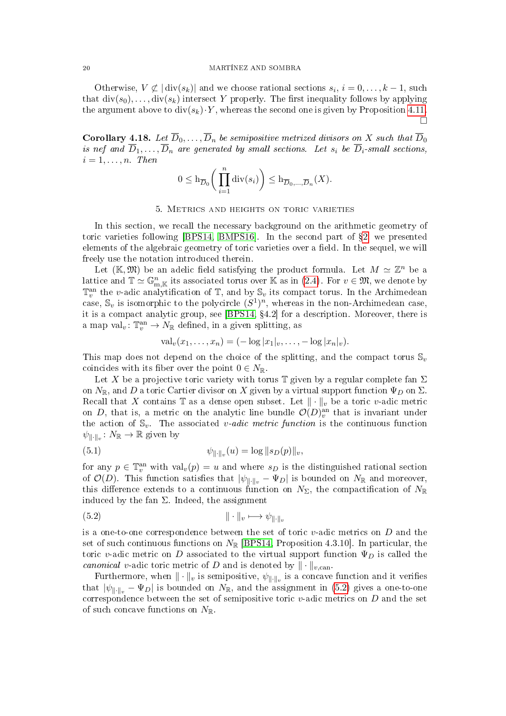#### 20 MARTÍNEZ AND SOMBRA

Otherwise,  $V \not\subset |\text{div}(s_k)|$  and we choose rational sections  $s_i, i = 0, \ldots, k-1$ , such that  $div(s_0), \ldots, div(s_k)$  intersect Y properly. The first inequality follows by applying the argument above to  $div(s_k) \cdot Y$ , whereas the second one is given by Proposition [4.11.](#page-16-1)  $\Box$ 

<span id="page-19-2"></span>**Corollary 4.18.** Let  $\overline{D}_0, \ldots, \overline{D}_n$  be semipositive metrized divisors on X such that  $\overline{D}_0$ is nef and  $\overline{D}_1,\ldots,\overline{D}_n$  are generated by small sections. Let  $s_i$  be  $\overline{D}_i$ -small sections,  $i = 1, \ldots, n$  Then

$$
0 \leq \mathrm{h}_{\overline{D}_0}\bigg(\prod_{i=1}^n \mathrm{div}(s_i)\bigg) \leq \mathrm{h}_{\overline{D}_0,\ldots,\overline{D}_n}(X).
$$

## 5. Metrics and heights on toric varieties

<span id="page-19-0"></span>In this section, we recall the necessary background on the arithmetic geometry of toric varieties following [\[BPS14,](#page-32-4) [BMPS16\]](#page-32-5). In the second part of  $\S2$ , we presented elements of the algebraic geometry of toric varieties over a field. In the sequel, we will freely use the notation introduced therein.

Let  $(\mathbb{K}, \mathfrak{M})$  be an adelic field satisfying the product formula. Let  $M \simeq \mathbb{Z}^n$  be a lattice and  $\mathbb{T} \simeq \mathbb{G}_{m,\mathbb{K}}^n$  its associated torus over  $\mathbb{K}$  as in [\(2.4\)](#page-6-4). For  $v \in \mathfrak{M}$ , we denote by  $\mathbb{T}_v^{\text{an}}$  the v-adic analytification of  $\mathbb{T}$ , and by  $\mathbb{S}_v$  its compact torus. In the Archimedean case,  $\mathbb{S}_v$  is isomorphic to the polycircle  $(S^1)^n$ , whereas in the non-Archimedean case, it is a compact analytic group, see  $[BPS14, §4.2]$  $[BPS14, §4.2]$  for a description. Moreover, there is a map val<sub>v</sub>:  $\mathbb{T}_v^{\text{an}} \to N_{\mathbb{R}}$  defined, in a given splitting, as

<span id="page-19-3"></span>
$$
val_v(x_1,...,x_n) = (-\log |x_1|_v,..., -\log |x_n|_v).
$$

This map does not depend on the choice of the splitting, and the compact torus  $\mathbb{S}_v$ coincides with its fiber over the point  $0 \in N_{\mathbb{R}}$ .

Let X be a projective toric variety with torus T given by a regular complete fan  $\Sigma$ on  $N_{\mathbb{R}}$ , and D a toric Cartier divisor on X given by a virtual support function  $\Psi_D$  on  $\Sigma$ . Recall that X contains  $\mathbb T$  as a dense open subset. Let  $\|\cdot\|_v$  be a toric v-adic metric on D, that is, a metric on the analytic line bundle  $\mathcal{O}(D)_{v}^{\text{an}}$  that is invariant under the action of  $\mathbb{S}_v$ . The associated *v-adic metric function* is the continuous function  $\psi_{\|\cdot\|_v} \colon N_{\mathbb{R}} \to \mathbb{R}$  given by

(5.1) 
$$
\psi_{\|\cdot\|_v}(u) = \log \|s_D(p)\|_v,
$$

for any  $p \in \mathbb{T}_v^{\text{an}}$  with  $\text{val}_v(p) = u$  and where  $s_D$  is the distinguished rational section of  $\mathcal{O}(D)$ . This function satisfies that  $|\psi_{\|\cdot\|_n} - \Psi_D|$  is bounded on  $N_{\mathbb{R}}$  and moreover, this difference extends to a continuous function on  $N_{\Sigma}$ , the compactification of  $N_{\mathbb{R}}$ induced by the fan  $\Sigma$ . Indeed, the assignment

<span id="page-19-1"></span>
$$
|| \cdot ||_v \longmapsto \psi_{|| \cdot ||_v}
$$

is a one-to-one correspondence between the set of toric  $v$ -adic metrics on  $D$  and the set of such continuous functions on  $N_{\mathbb{R}}$  [\[BPS14,](#page-32-4) Proposition 4.3.10]. In particular, the toric v-adic metric on D associated to the virtual support function  $\Psi_D$  is called the canonical v-adic toric metric of D and is denoted by  $\|\cdot\|_{v,\text{can}}$ .

Furthermore, when  $\|\cdot\|_v$  is semipositive,  $\psi_{\|\cdot\|_v}$  is a concave function and it verifies that  $|\psi_{\|\cdot\|_v} - \Psi_D|$  is bounded on  $N_{\mathbb{R}}$ , and the assignment in [\(5.2\)](#page-19-1) gives a one-to-one correspondence between the set of semipositive toric  $v$ -adic metrics on  $D$  and the set of such concave functions on  $N_{\mathbb{R}}$ .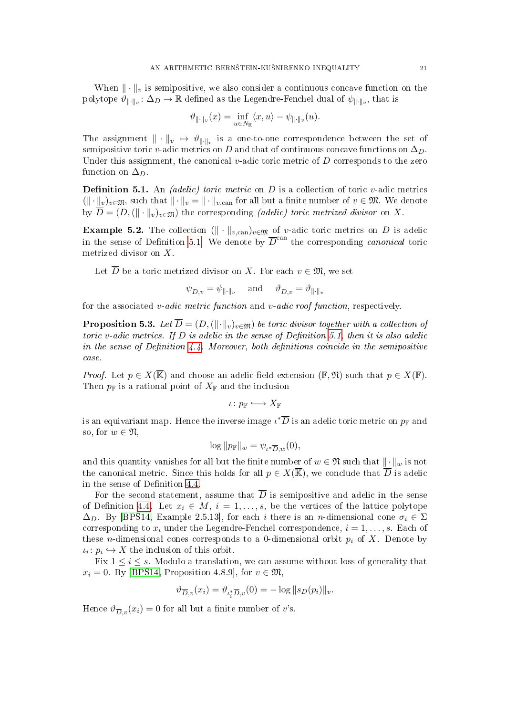When  $\|\cdot\|_v$  is semipositive, we also consider a continuous concave function on the polytope  $\vartheta_{\|\cdot\|_v} \colon \Delta_D \to \mathbb{R}$  defined as the Legendre-Fenchel dual of  $\psi_{\|\cdot\|_v}$ , that is

$$
\vartheta_{\|\cdot\|_v}(x)=\inf_{u\in N_{\mathbb{R}}}\langle x,u\rangle-\psi_{\|\cdot\|_v}(u).
$$

The assignment  $\|\cdot\|_v \mapsto \vartheta_{\|\cdot\|_v}$  is a one-to-one correspondence between the set of semipositive toric v-adic metrics on D and that of continuous concave functions on  $\Delta_D$ . Under this assignment, the canonical v-adic toric metric of  $D$  corresponds to the zero function on  $\Delta_D$ .

<span id="page-20-0"></span>**Definition 5.1.** An *(adelic) toric metric* on  $D$  is a collection of toric  $v$ -adic metrics  $(\|\cdot\|_v)_{v\in\mathfrak{M}}$ , such that  $\|\cdot\|_v = \|\cdot\|_{v,\text{can}}$  for all but a finite number of  $v \in \mathfrak{M}$ . We denote by  $\overline{D} = (D, (\|\cdot\|_v)_{v \in \mathfrak{M}})$  the corresponding *(adelic) toric metrized divisor* on X.

<span id="page-20-1"></span>Example 5.2. The collection  $(\Vert \cdot \Vert_{v,\text{can}})_{v \in \mathfrak{M}}$  of v-adic toric metrics on D is adelic in the sense of Definition [5.1.](#page-20-0) We denote by  $\overline{D}^{\text{can}}$  the corresponding *canonical* toric metrized divisor on X.

Let  $\overline{D}$  be a toric metrized divisor on X. For each  $v \in \mathfrak{M}$ , we set

$$
\psi_{\overline{D},v} = \psi_{\|\cdot\|_v} \quad \text{ and } \quad \vartheta_{\overline{D},v} = \vartheta_{\|\cdot\|_v}
$$

for the associated v-adic metric function and v-adic roof function, respectively.

**Proposition 5.3.** Let  $\overline{D} = (D, (\|\cdot\|_v)_{v \in \mathfrak{M}})$  be toric divisor together with a collection of toric v-adic metrics. If  $\overline{D}$  is adelic in the sense of Definition [5.1,](#page-20-0) then it is also adelic in the sense of Definition  $4.4$ . Moreover, both definitions coincide in the semipositive case.

*Proof.* Let  $p \in X(\overline{\mathbb{K}})$  and choose an adelic field extension  $(\mathbb{F}, \mathfrak{N})$  such that  $p \in X(\mathbb{F})$ . Then  $p_{\mathbb{F}}$  is a rational point of  $X_{\mathbb{F}}$  and the inclusion

 $\iota\colon p_{\mathbb{F}} \hookrightarrow X_{\mathbb{F}}$ 

is an equivariant map. Hence the inverse image  $\iota^*\overline{D}$  is an adelic toric metric on  $p_\mathbb{F}$  and so, for  $w \in \mathfrak{N}$ ,

$$
\log ||p_{\mathbb{F}}||_{w} = \psi_{\iota^* \overline{D}, w}(0),
$$

and this quantity vanishes for all but the finite number of  $w \in \mathfrak{N}$  such that  $\|\cdot\|_w$  is not the canonical metric. Since this holds for all  $p \in X(\overline{\mathbb{K}})$ , we conclude that  $\overline{D}$  is adelic in the sense of Definition [4.4.](#page-14-1)

For the second statement, assume that  $\overline{D}$  is semipositive and adelic in the sense of Definition [4.4.](#page-14-1) Let  $x_i \in M$ ,  $i = 1, \ldots, s$ , be the vertices of the lattice polytope  $\Delta_D$ . By [\[BPS14,](#page-32-4) Example 2.5.13], for each i there is an n-dimensional cone  $\sigma_i \in \Sigma$ corresponding to  $x_i$  under the Legendre-Fenchel correspondence,  $i = 1, \ldots, s$ . Each of these *n*-dimensional cones corresponds to a 0-dimensional orbit  $p_i$  of X. Denote by  $\iota_i: p_i \hookrightarrow X$  the inclusion of this orbit.

Fix  $1 \leq i \leq s$ . Modulo a translation, we can assume without loss of generality that  $x_i = 0$ . By [\[BPS14,](#page-32-4) Proposition 4.8.9], for  $v \in \mathfrak{M}$ ,

$$
\vartheta_{\overline{D},v}(x_i) = \vartheta_{\iota_i^* \overline{D},v}(0) = -\log ||s_D(p_i)||_v.
$$

Hence  $\vartheta_{\overline{D},v}(x_i) = 0$  for all but a finite number of v's.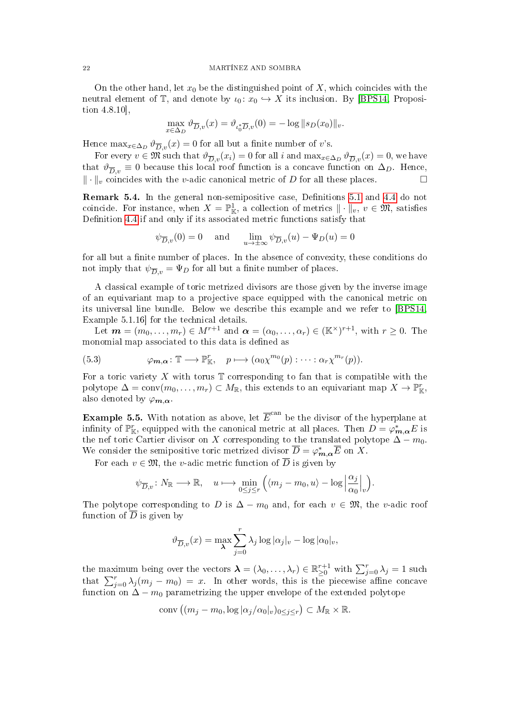On the other hand, let  $x_0$  be the distinguished point of X, which coincides with the neutral element of T, and denote by  $\iota_0: x_0 \hookrightarrow X$  its inclusion. By [\[BPS14,](#page-32-4) Proposition 4.8.10],

$$
\max_{x \in \Delta_D} \vartheta_{\overline{D}, v}(x) = \vartheta_{\iota_0^* \overline{D}, v}(0) = -\log \|s_D(x_0)\|_v.
$$

Hence  $\max_{x \in \Delta_D} \vartheta_{\overline{D},v}(x) = 0$  for all but a finite number of v's.

For every  $v \in \mathfrak{M}$  such that  $\vartheta_{\overline{D},v}(x_i) = 0$  for all i and  $\max_{x \in \Delta_D} \vartheta_{\overline{D},v}(x) = 0$ , we have that  $\vartheta_{\overline{D}_v} \equiv 0$  because this local roof function is a concave function on  $\Delta_D$ . Hence,  $\|\cdot\|_v$  coincides with the v-adic canonical metric of D for all these places.

<span id="page-21-0"></span>**Remark 5.4.** In the general non-semipositive case, Definitions [5.1](#page-20-0) and [4.4](#page-14-1) do not coincide. For instance, when  $X = \mathbb{P}^1_{\mathbb{K}}$ , a collection of metrics  $\|\cdot\|_v, v \in \mathfrak{M}$ , satisfies Definition [4.4](#page-14-1) if and only if its associated metric functions satisfy that

$$
\psi_{\overline{D},v}(0) = 0
$$
 and  $\lim_{u \to \pm \infty} \psi_{\overline{D},v}(u) - \Psi_D(u) = 0$ 

for all but a finite number of places. In the absence of convexity, these conditions do not imply that  $\psi_{\overline{D},v} = \Psi_D$  for all but a finite number of places.

A classical example of toric metrized divisors are those given by the inverse image of an equivariant map to a projective space equipped with the canonical metric on its universal line bundle. Below we describe this example and we refer to [\[BPS14,](#page-32-4) Example 5.1.16] for the technical details.

Let  $\mathbf{m} = (m_0, \ldots, m_r) \in M^{r+1}$  and  $\boldsymbol{\alpha} = (\alpha_0, \ldots, \alpha_r) \in (\mathbb{K}^\times)^{r+1}$ , with  $r \geq 0$ . The monomial map associated to this data is defined as

<span id="page-21-1"></span>(5.3) 
$$
\varphi_{m,\alpha} : \mathbb{T} \longrightarrow \mathbb{P}_{\mathbb{K}}^r, \quad p \longmapsto (\alpha_0 \chi^{m_0}(p) : \cdots : \alpha_r \chi^{m_r}(p)).
$$

For a toric variety X with torus  $\mathbb T$  corresponding to fan that is compatible with the polytope  $\Delta = \text{conv}(m_0, \ldots, m_r) \subset M_{\mathbb{R}}$ , this extends to an equivariant map  $X \to \mathbb{P}^r_{\mathbb{K}}$ , also denoted by  $\varphi_{m,\alpha}$ .

<span id="page-21-2"></span>**Example 5.5.** With notation as above, let  $\overline{E}^{\text{can}}$  be the divisor of the hyperplane at infinity of  $\mathbb{P}^r_{\mathbb{K}}$ , equipped with the canonical metric at all places. Then  $D = \varphi^*_{m,\alpha}E$  is the nef toric Cartier divisor on X corresponding to the translated polytope  $\Delta - m_0$ . We consider the semipositive toric metrized divisor  $\overline{D} = \varphi_{m,\alpha}^* \overline{E}$  on X.

For each  $v \in \mathfrak{M}$ , the v-adic metric function of  $\overline{D}$  is given by

$$
\psi_{\overline{D},v}\colon N_{\mathbb{R}}\longrightarrow {\mathbb{R}},\quad u\longmapsto \min_{0\leq j\leq r}\Big(\langle m_j-m_0,u\rangle-\log\Big|\frac{\alpha_j}{\alpha_0}\Big|_v\Big).
$$

The polytope corresponding to D is  $\Delta - m_0$  and, for each  $v \in \mathfrak{M}$ , the v-adic roof function of  $\overline{D}$  is given by

$$
\vartheta_{\overline{D},v}(x) = \max_{\lambda} \sum_{j=0}^{r} \lambda_j \log |\alpha_j|_v - \log |\alpha_0|_v,
$$

the maximum being over the vectors  $\boldsymbol{\lambda} = (\lambda_0, \dots, \lambda_r) \in \mathbb{R}_{\geq 0}^{r+1}$  with  $\sum_{j=0}^r \lambda_j = 1$  such that  $\sum_{j=0}^{r} \lambda_j (m_j - m_0) = x$ . In other words, this is the piecewise affine concave function on  $\Delta - m_0$  parametrizing the upper envelope of the extended polytope

$$
conv((m_j - m_0, \log |\alpha_j/\alpha_0|_v)_{0 \le j \le r}) \subset M_{\mathbb{R}} \times \mathbb{R}.
$$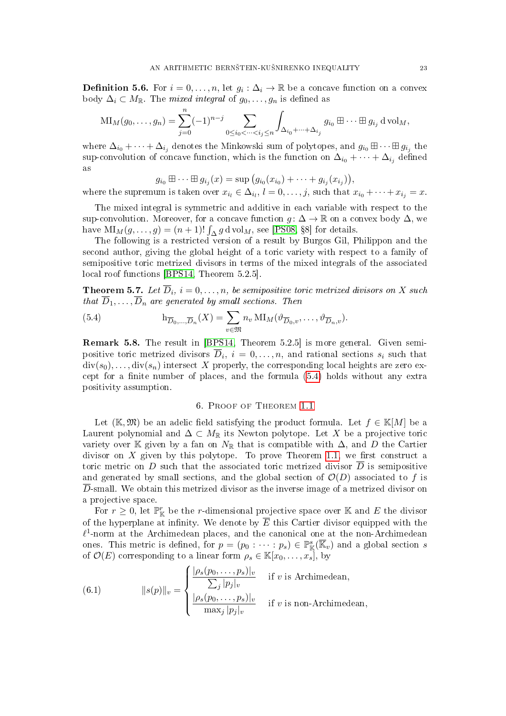<span id="page-22-0"></span>**Definition 5.6.** For  $i = 0, ..., n$ , let  $g_i : \Delta_i \to \mathbb{R}$  be a concave function on a convex body  $\Delta_i \subset M_{\mathbb{R}}$ . The *mixed integral* of  $g_0, \ldots, g_n$  is defined as

$$
\mathrm{MI}_M(g_0, \ldots, g_n) = \sum_{j=0}^n (-1)^{n-j} \sum_{0 \le i_0 < \cdots < i_j \le n} \int_{\Delta_{i_0} + \cdots + \Delta_{i_j}} g_{i_0} \boxplus \cdots \boxplus g_{i_j} \mathrm{d} \operatorname{vol}_M,
$$

where  $\Delta_{i_0} + \cdots + \Delta_{i_j}$  denotes the Minkowski sum of polytopes, and  $g_{i_0} \boxplus \cdots \boxplus g_{i_j}$  the sup-convolution of concave function, which is the function on  $\Delta_{i_0} + \cdots + \Delta_{i_j}$  defined as

$$
g_{i_0} \boxplus \cdots \boxplus g_{i_j}(x) = \sup (g_{i_0}(x_{i_0}) + \cdots + g_{i_j}(x_{i_j})),
$$

where the supremum is taken over  $x_{i_l} \in \Delta_{i_l}, l = 0, \ldots, j$ , such that  $x_{i_0} + \cdots + x_{i_j} = x$ .

The mixed integral is symmetric and additive in each variable with respect to the sup-convolution. Moreover, for a concave function  $g: \Delta \to \mathbb{R}$  on a convex body  $\Delta$ , we have  $\text{MI}_M(g, \ldots, g) = (n+1)! \int_{\Delta} g \, d\,\text{vol}_M$ , see [\[PS08,](#page-33-1) §8] for details.

The following is a restricted version of a result by Burgos Gil, Philippon and the second author, giving the global height of a toric variety with respect to a family of semipositive toric metrized divisors in terms of the mixed integrals of the associated local roof functions [\[BPS14,](#page-32-4) Theorem 5.2.5].

<span id="page-22-4"></span>**Theorem 5.7.** Let  $\overline{D}_i$ ,  $i = 0, \ldots, n$ , be semipositive toric metrized divisors on X such that  $\overline{D}_1,\ldots,\overline{D}_n$  are generated by small sections. Then

<span id="page-22-2"></span>(5.4) 
$$
h_{\overline{D}_0,\ldots,\overline{D}_n}(X) = \sum_{v \in \mathfrak{M}} n_v \operatorname{MI}_M(\vartheta_{\overline{D}_0,v},\ldots,\vartheta_{\overline{D}_n,v}).
$$

Remark 5.8. The result in [\[BPS14,](#page-32-4) Theorem 5.2.5] is more general. Given semipositive toric metrized divisors  $D_i$ ,  $i = 0, \ldots, n$ , and rational sections  $s_i$  such that  $div(s_0), \ldots, div(s_n)$  intersect X properly, the corresponding local heights are zero except for a finite number of places, and the formula  $(5.4)$  holds without any extra positivity assumption.

## 6. Proof of Theorem [1.1](#page-1-1)

<span id="page-22-1"></span>Let (K,  $\mathfrak{M}$ ) be an adelic field satisfying the product formula. Let  $f \in K[M]$  be a Laurent polynomial and  $\Delta \subset M_{\mathbb{R}}$  its Newton polytope. Let X be a projective toric variety over K given by a fan on  $N_{\mathbb{R}}$  that is compatible with  $\Delta$ , and D the Cartier divisor on X given by this polytope. To prove Theorem [1.1,](#page-1-1) we first construct a toric metric on D such that the associated toric metrized divisor  $\overline{D}$  is semipositive and generated by small sections, and the global section of  $\mathcal{O}(D)$  associated to f is  $\overline{D}$ -small. We obtain this metrized divisor as the inverse image of a metrized divisor on a projective space.

For  $r \geq 0$ , let  $\mathbb{P}^r_{\mathbb{K}}$  be the r-dimensional projective space over K and E the divisor of the hyperplane at infinity. We denote by  $\overline{E}$  this Cartier divisor equipped with the  $\ell$ <sup>1</sup>-norm at the Archimedean places, and the canonical one at the non-Archimedean ones. This metric is defined, for  $p = (p_0 : \cdots : p_s) \in \mathbb{P}^s_{\mathbb{K}}(\overline{\mathbb{K}}_v)$  and a global section s of  $\mathcal{O}(E)$  corresponding to a linear form  $\rho_s \in \mathbb{K}[x_0, \ldots, x_s]$ , by

<span id="page-22-3"></span>(6.1) 
$$
||s(p)||_v = \begin{cases} \frac{|\rho_s(p_0, \dots, p_s)|_v}{\sum_j |p_j|_v} & \text{if } v \text{ is Archimedean,} \\ \frac{|\rho_s(p_0, \dots, p_s)|_v}{\max_j |p_j|_v} & \text{if } v \text{ is non-Archimedean,} \end{cases}
$$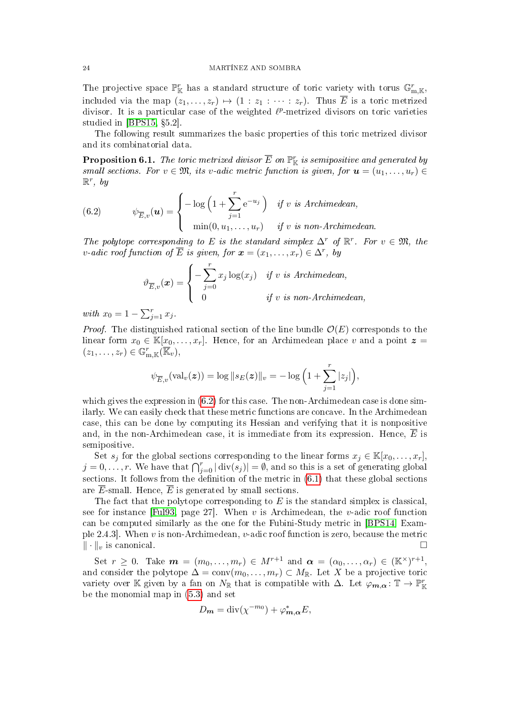The projective space  $\mathbb{P}^r_{\mathbb{K}}$  has a standard structure of toric variety with torus  $\mathbb{G}_{m,\mathbb{K}}^r$ , included via the map  $(z_1, \ldots, z_r) \mapsto (1 : z_1 : \cdots : z_r)$ . Thus  $\overline{E}$  is a toric metrized divisor. It is a particular case of the weighted  $\ell^p$ -metrized divisors on toric varieties studied in  $[BPS15, §5.2]$  $[BPS15, §5.2]$ .

The following result summarizes the basic properties of this toric metrized divisor and its combinatorial data.

<span id="page-23-1"></span>**Proposition 6.1.** The toric metrized divisor  $\overline{E}$  on  $\mathbb{P}^r_{\mathbb{K}}$  is semipositive and generated by small sections. For  $v \in \mathfrak{M}$ , its v-adic metric function is given, for  $u = (u_1, \ldots, u_r) \in$  $\mathbb{R}^r$ , by

<span id="page-23-0"></span>(6.2) 
$$
\psi_{\overline{E},v}(\boldsymbol{u}) = \begin{cases} -\log\left(1+\sum_{j=1}^r e^{-u_j}\right) & \text{if } v \text{ is Archimedean,} \\ \min(0, u_1, \dots, u_r) & \text{if } v \text{ is non-Archimedean.} \end{cases}
$$

The polytope corresponding to E is the standard simplex  $\Delta^r$  of  $\mathbb{R}^r$ . For  $v \in \mathfrak{M}$ , the v-adic roof function of  $\overline{E}$  is given, for  $\boldsymbol{x} = (x_1, \ldots, x_r) \in \Delta^r$ , by

$$
\vartheta_{\overline{E},v}(\boldsymbol{x}) = \begin{cases}\n-\sum_{j=0}^{r} x_j \log(x_j) & \text{if } v \text{ is Archimedean,} \\
0 & \text{if } v \text{ is non-Archimedean,}\n\end{cases}
$$

with  $x_0 = 1 - \sum_{j=1}^r x_j$ .

*Proof.* The distinguished rational section of the line bundle  $\mathcal{O}(E)$  corresponds to the linear form  $x_0 \in K[x_0, \ldots, x_r]$ . Hence, for an Archimedean place v and a point  $\boldsymbol{z} =$  $(z_1,\ldots,z_r)\in\mathbb{G}_{m,\mathbb{K}}^r(\overline{\mathbb{K}}_v),$ 

$$
\psi_{\overline{E},v}(\textrm{val}_v(\boldsymbol{z})) = \log \|s_E(\boldsymbol{z})\|_v = -\log\Big(1 + \sum_{j=1}^r |z_j|\Big),
$$

which gives the expression in [\(6.2\)](#page-23-0) for this case. The non-Archimedean case is done similarly. We can easily check that these metric functions are concave. In the Archimedean case, this can be done by computing its Hessian and verifying that it is nonpositive and, in the non-Archimedean case, it is immediate from its expression. Hence,  $E$  is semipositive.

Set  $s_j$  for the global sections corresponding to the linear forms  $x_j \in \mathbb{K}[x_0, \ldots, x_r]$ ,  $j=0,\ldots,r.$  We have that  $\bigcap_{j=0}^{r}|\text{div}(s_j)|=\emptyset$ , and so this is a set of generating global sections. It follows from the definition of the metric in  $(6.1)$  that these global sections are  $\overline{E}$ -small. Hence,  $\overline{E}$  is generated by small sections.

The fact that the polytope corresponding to  $E$  is the standard simplex is classical, see for instance [\[Ful93,](#page-32-7) page 27]. When v is Archimedean, the v-adic roof function can be computed similarly as the one for the Fubini-Study metric in [\[BPS14,](#page-32-4) Example 2.4.3. When v is non-Archimedean, v-adic roof function is zero, because the metric  $\|\cdot\|_v$  is canonical.

Set  $r \geq 0$ . Take  $m = (m_0, \ldots, m_r) \in M^{r+1}$  and  $\alpha = (\alpha_0, \ldots, \alpha_r) \in (\mathbb{K}^\times)^{r+1}$ , and consider the polytope  $\Delta = \text{conv}(m_0, \ldots, m_r) \subset M_{\mathbb{R}}$ . Let X be a projective toric variety over K given by a fan on  $N_{\mathbb{R}}$  that is compatible with  $\Delta$ . Let  $\varphi_{m,\alpha} : \mathbb{T} \to \mathbb{P}^r_{\mathbb{K}}$ be the monomial map in [\(5.3\)](#page-21-1) and set

$$
D_{m} = \operatorname{div}(\chi^{-m_0}) + \varphi_{m,\alpha}^* E,
$$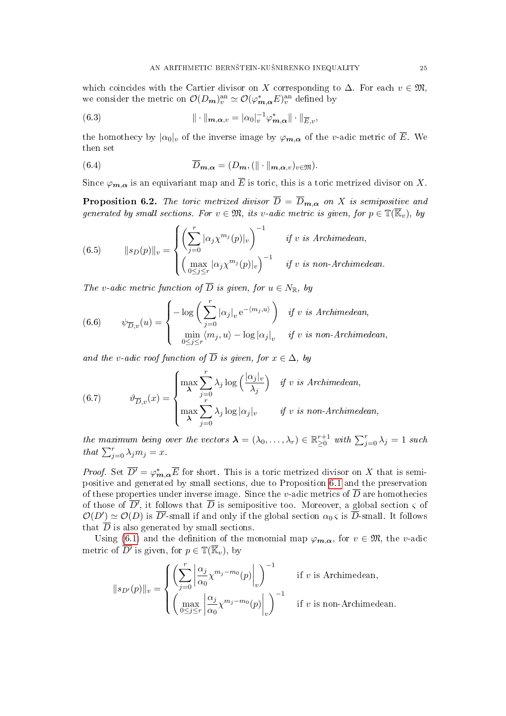which coincides with the Cartier divisor on X corresponding to  $\Delta$ . For each  $v \in \mathfrak{M}$ , we consider the metric on  $\mathcal{O}(D_{m})_{v}^{\text{an}} \simeq \mathcal{O}(\varphi_{m,\alpha}^{*}E)_{v}^{\text{an}}$  defined by

<span id="page-24-1"></span>(6.3) 
$$
\|\cdot\|_{m,\alpha,v} = |\alpha_0|_v^{-1} \varphi_{m,\alpha}^* \|\cdot\|_{\overline{E},v},
$$

the homothecy by  $|\alpha_0|_v$  of the inverse image by  $\varphi_{m,\alpha}$  of the v-adic metric of  $\overline{E}$ . We then set

<span id="page-24-4"></span>(6.4) 
$$
\overline{D}_{m,\alpha} = (D_m, (\|\cdot\|_{m,\alpha,v})_{v \in \mathfrak{M}}).
$$

Since  $\varphi_{m,\alpha}$  is an equivariant map and  $\overline{E}$  is toric, this is a toric metrized divisor on X.

<span id="page-24-0"></span>**Proposition 6.2.** The toric metrized divisor  $\overline{D} = \overline{D}_{m,\alpha}$  on X is semipositive and generated by small sections. For  $v \in \mathfrak{M}$ , its v-adic metric is given, for  $p \in \mathbb{T}(\overline{\mathbb{K}}_v)$ , by

<span id="page-24-2"></span>(6.5) 
$$
||s_D(p)||_v = \begin{cases} \left(\sum_{j=0}^r |\alpha_j \chi^{m_j}(p)|_v\right)^{-1} & \text{if } v \text{ is Archimedean,} \\ \left(\max_{0 \le j \le r} |\alpha_j \chi^{m_j}(p)|_v\right)^{-1} & \text{if } v \text{ is non-Archimedean.} \end{cases}
$$

The v-adic metric function of  $\overline{D}$  is given, for  $u \in N_{\mathbb{R}}$ , by

(6.6) 
$$
\psi_{\overline{D},v}(u) = \begin{cases} -\log\left(\sum_{j=0}^r |\alpha_j|_v e^{-\langle m_j, u \rangle}\right) & \text{if } v \text{ is Archimedean,} \\ \min_{0 \le j \le r} \langle m_j, u \rangle - \log |\alpha_j|_v & \text{if } v \text{ is non-Archimedean,} \end{cases}
$$

and the v-adic roof function of  $\overline{D}$  is given, for  $x \in \Delta$ , by

<span id="page-24-3"></span>(6.7) 
$$
\vartheta_{\overline{D},v}(x) = \begin{cases} \max_{\lambda} \sum_{j=0}^{r} \lambda_j \log\left(\frac{|\alpha_j|_v}{\lambda_j}\right) & \text{if } v \text{ is Archimedean,} \\ \max_{\lambda} \sum_{j=0}^{r} \lambda_j \log |\alpha_j|_v & \text{if } v \text{ is non-Archimedean,} \end{cases}
$$

the maximum being over the vectors  $\boldsymbol{\lambda} = (\lambda_0, \dots, \lambda_r) \in \mathbb{R}_{\geq 0}^{r+1}$  with  $\sum_{j=0}^r \lambda_j = 1$  such that  $\sum_{j=0}^{r} \lambda_j m_j = x$ .

*Proof.* Set  $\overline{D'} = \varphi_{m,\alpha}^* \overline{E}$  for short. This is a toric metrized divisor on X that is semipositive and generated by small sections, due to Proposition [6.1](#page-23-1) and the preservation of these properties under inverse image. Since the v-adic metrics of  $\overline{D}$  are homothecies of those of  $\overline{D'}$ , it follows that  $\overline{D}$  is semipositive too. Moreover, a global section  $\varsigma$  of  $\mathcal{O}(D') \simeq \mathcal{O}(D)$  is  $\overline{D'}$ -small if and only if the global section  $\alpha_0 \in \overline{D}$ -small. It follows that  $\overline{D}$  is also generated by small sections.

Using [\(6.1\)](#page-22-3) and the definition of the monomial map  $\varphi_{m,\alpha}$ , for  $v \in \mathfrak{M}$ , the v-adic metric of  $\overline{D'}$  is given, for  $p \in \mathbb{T}(\overline{\mathbb{K}}_v)$ , by

$$
||s_{D'}(p)||_v = \begin{cases} \left(\sum_{j=0}^r \left| \frac{\alpha_j}{\alpha_0} \chi^{m_j - m_0}(p) \right|_v \right)^{-1} & \text{if } v \text{ is Archimedean,} \\ \left(\max_{0 \le j \le r} \left| \frac{\alpha_j}{\alpha_0} \chi^{m_j - m_0}(p) \right|_v \right)^{-1} & \text{if } v \text{ is non-Archimedean.} \end{cases}
$$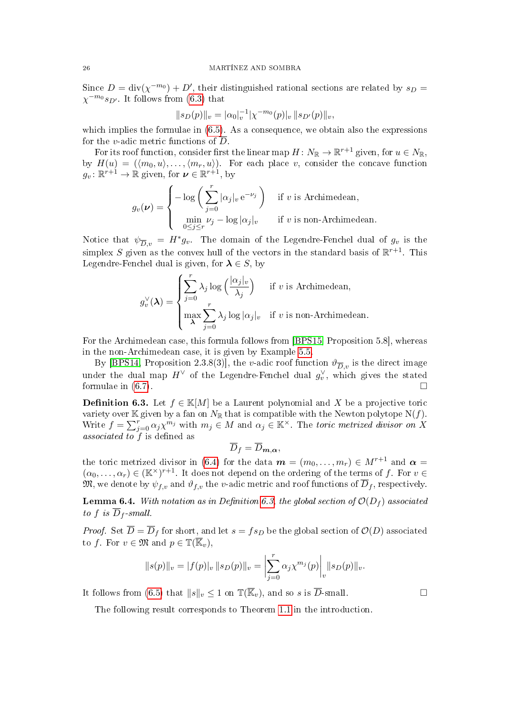Since  $D = \text{div}(\chi^{-m_0}) + D'$ , their distinguished rational sections are related by  $s_D =$  $\chi^{-m_0} s_{D'}$ . It follows from [\(6.3\)](#page-24-1) that

$$
||s_D(p)||_v = |\alpha_0|_v^{-1} |\chi^{-m_0}(p)|_v ||s_{D'}(p)||_v,
$$

which implies the formulae in  $(6.5)$ . As a consequence, we obtain also the expressions for the *v*-adic metric functions of  $\overline{D}$ .

For its roof function, consider first the linear map  $H\colon N_{\mathbb R}\to {\mathbb R}^{r+1}$  given, for  $u\in N_{\mathbb R},$ by  $H(u) = (\langle m_0, u \rangle, \ldots, \langle m_r, u \rangle)$ . For each place v, consider the concave function  $g_v: \mathbb{R}^{r+1} \to \mathbb{R}$  given, for  $v \in \mathbb{R}^{r+1}$ , by

$$
g_v(\nu) = \begin{cases} -\log\left(\sum_{j=0}^r |\alpha_j|_v e^{-\nu_j}\right) & \text{if } v \text{ is Archimedean,} \\ \min_{0 \le j \le r} \nu_j - \log |\alpha_j|_v & \text{if } v \text{ is non-Archimedean.} \end{cases}
$$

Notice that  $\psi_{\overline{D},v} = H^* g_v$ . The domain of the Legendre-Fenchel dual of  $g_v$  is the simplex S given as the convex hull of the vectors in the standard basis of  $\mathbb{R}^{r+1}$ . This Legendre-Fenchel dual is given, for  $\lambda \in S$ , by

$$
g_v^{\vee}(\boldsymbol{\lambda}) = \begin{cases} \sum_{j=0}^r \lambda_j \log \left( \frac{|\alpha_j|_v}{\lambda_j} \right) & \text{if } v \text{ is Archimedean,} \\ \max_{\boldsymbol{\lambda}} \sum_{j=0}^r \lambda_j \log |\alpha_j|_v & \text{if } v \text{ is non-Archimedean.} \end{cases}
$$

For the Archimedean case, this formula follows from [\[BPS15,](#page-32-15) Proposition 5.8], whereas in the non-Archimedean case, it is given by Example [5.5.](#page-21-2)

By [\[BPS14,](#page-32-4) Proposition 2.3.8(3)], the v-adic roof function  $\vartheta_{\overline{D},v}$  is the direct image under the dual map  $H^{\vee}$  of the Legendre-Fenchel dual  $g_v^{\vee}$ , which gives the stated formulae in  $(6.7)$ .

<span id="page-25-1"></span>**Definition 6.3.** Let  $f \in \mathbb{K}[M]$  be a Laurent polynomial and X be a projective toric variety over K given by a fan on  $N_{\mathbb{R}}$  that is compatible with the Newton polytope N(f). Write  $f = \sum_{j=0}^{r} \alpha_j \chi^{m_j}$  with  $m_j \in M$  and  $\alpha_j \in \mathbb{K}^\times$ . The toric metrized divisor on X associated to  $f$  is defined as

$$
\overline{D}_f = \overline{D}_{m,\alpha},
$$

the toric metrized divisor in [\(6.4\)](#page-24-4) for the data  $\mathbf{m} = (m_0, \ldots, m_r) \in M^{r+1}$  and  $\boldsymbol{\alpha} =$  $(\alpha_0,\ldots,\alpha_r)\in (\mathbb{K}^\times)^{r+1}$ . It does not depend on the ordering of the terms of f. For  $v\in$  $\mathfrak{M},$  we denote by  $\psi_{f,v}$  and  $\vartheta_{f,v}$  the v-adic metric and roof functions of  $\overline{D}_f$ , respectively.

<span id="page-25-0"></span>**Lemma 6.4.** With notation as in Definition [6.3,](#page-25-1) the global section of  $\mathcal{O}(D_f)$  associated to f is  $\overline{D}_f$ -small.

*Proof.* Set  $\overline{D} = \overline{D}_f$  for short, and let  $s = fs_D$  be the global section of  $\mathcal{O}(D)$  associated to f. For  $v \in \mathfrak{M}$  and  $p \in \mathbb{T}(\overline{\mathbb{K}}_v)$ ,

$$
||s(p)||_v = |f(p)|_v ||s_D(p)||_v = \left| \sum_{j=0}^r \alpha_j \chi^{m_j}(p) \right|_v ||s_D(p)||_v.
$$

It follows from [\(6.5\)](#page-24-2) that  $||s||_v \leq 1$  on  $\mathbb{T}(\overline{\mathbb{K}}_v)$ , and so s is  $\overline{D}$ -small.

The following result corresponds to Theorem [1.1](#page-1-1) in the introduction.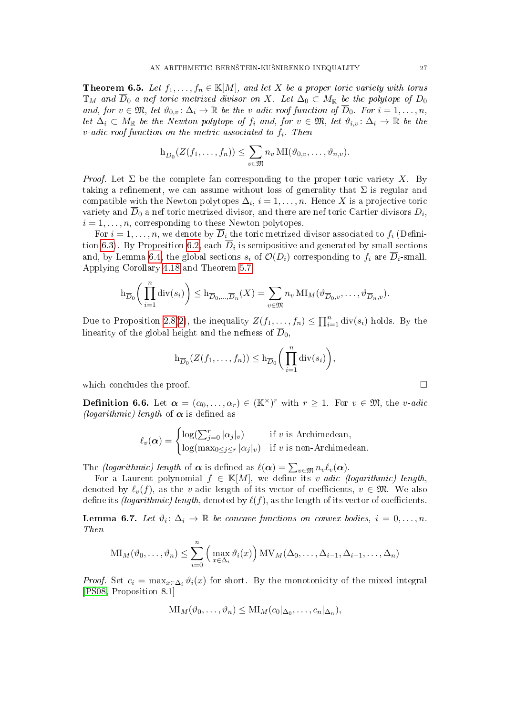<span id="page-26-1"></span>**Theorem 6.5.** Let  $f_1, \ldots, f_n \in \mathbb{K}[M]$ , and let X be a proper toric variety with torus  $\mathbb{T}_M$  and  $\overline{D}_0$  a nef toric metrized divisor on X. Let  $\Delta_0 \subset M_{\mathbb{R}}$  be the polytope of  $D_0$ and, for  $v \in \mathfrak{M}$ , let  $\vartheta_{0,v} : \Delta_i \to \mathbb{R}$  be the v-adic roof function of  $\overline{D}_0$ . For  $i = 1, \ldots, n$ , let  $\Delta_i \subset M_{\mathbb{R}}$  be the Newton polytope of  $f_i$  and, for  $v \in \mathfrak{M}$ , let  $\vartheta_{i,v} \colon \Delta_i \to \mathbb{R}$  be the  $v$ -adic roof function on the metric associated to  $f_i$ . Then

$$
\mathrm{h}_{\overline{D}_0}(Z(f_1,\ldots,f_n))\leq \sum_{v\in \mathfrak{M}} n_v \mathrm{MI}(\vartheta_{0,v},\ldots,\vartheta_{n,v}).
$$

*Proof.* Let  $\Sigma$  be the complete fan corresponding to the proper toric variety X. By taking a refinement, we can assume without loss of generality that  $\Sigma$  is regular and compatible with the Newton polytopes  $\Delta_i$ ,  $i = 1, \ldots, n$ . Hence X is a projective toric variety and  $D_0$  a nef toric metrized divisor, and there are nef toric Cartier divisors  $D_i$ ,  $i = 1, \ldots, n$ , corresponding to these Newton polytopes.

For  $i = 1, \ldots, n$ , we denote by  $\overline{D}_i$  the toric metrized divisor associated to  $f_i$  (Defini-tion [6.3\)](#page-25-1). By Proposition [6.2,](#page-24-0) each  $\overline{D}_i$  is semipositive and generated by small sections and, by Lemma [6.4,](#page-25-0) the global sections  $s_i$  of  $\mathcal{O}(D_i)$  corresponding to  $f_i$  are  $\overline{D}_i$ -small. Applying Corollary [4.18](#page-19-2) and Theorem [5.7,](#page-22-4)

$$
\mathrm{h}_{\overline{D}_0}\bigg(\prod_{i=1}^n \mathrm{div}(s_i)\bigg) \leq \mathrm{h}_{\overline{D}_0,\ldots,\overline{D}_n}(X) = \sum_{v \in \mathfrak{M}} n_v \mathrm{MI}_M(\vartheta_{\overline{D}_0,v},\ldots,\vartheta_{\overline{D}_n,v}).
$$

Due to Proposition [2.8\(](#page-8-3)[2\)](#page-8-4), the inequality  $Z(f_1, \ldots, f_n) \le \prod_{i=1}^n \text{div}(s_i)$  holds. By the linearity of the global height and the nefness of  $\overline{D}_0$ ,

$$
\mathrm{h}_{\overline{D}_0}(Z(f_1,\ldots,f_n))\leq \mathrm{h}_{\overline{D}_0}\bigg(\prod_{i=1}^n \mathrm{div}(s_i)\bigg),\,
$$

which concludes the proof.

<span id="page-26-0"></span>**Definition 6.6.** Let  $\boldsymbol{\alpha} = (\alpha_0, \dots, \alpha_r) \in (\mathbb{K}^\times)^r$  with  $r \geq 1$ . For  $v \in \mathfrak{M}$ , the *v*-adic (logarithmic) length of  $\alpha$  is defined as

$$
\ell_v(\boldsymbol{\alpha}) = \begin{cases} \log(\sum_{j=0}^r |\alpha_j|_v) & \text{if } v \text{ is Archimedean,} \\ \log(\max_{0 \le j \le r} |\alpha_j|_v) & \text{if } v \text{ is non-Archimedean.} \end{cases}
$$

The *(logarithmic) length* of  $\boldsymbol{\alpha}$  is defined as  $\ell(\boldsymbol{\alpha}) = \sum_{v \in \mathfrak{M}} n_v \ell_v(\boldsymbol{\alpha})$ .

For a Laurent polynomial  $f \in K[M]$ , we define its v-adic (logarithmic) length, denoted by  $\ell_n(f)$ , as the v-adic length of its vector of coefficients,  $v \in \mathfrak{M}$ . We also define its *(logarithmic) length*, denoted by  $\ell(f)$ , as the length of its vector of coefficients.

<span id="page-26-2"></span>**Lemma 6.7.** Let  $\vartheta_i: \Delta_i \to \mathbb{R}$  be concave functions on convex bodies,  $i = 0, \ldots, n$ . Then

$$
\text{MI}_M(\vartheta_0,\ldots,\vartheta_n) \leq \sum_{i=0}^n \left( \max_{x \in \Delta_i} \vartheta_i(x) \right) \text{MV}_M(\Delta_0,\ldots,\Delta_{i-1},\Delta_{i+1},\ldots,\Delta_n)
$$

*Proof.* Set  $c_i = \max_{x \in \Delta_i} \vartheta_i(x)$  for short. By the monotonicity of the mixed integral [\[PS08,](#page-33-1) Proposition 8.1]

$$
\mathrm{MI}_M(\vartheta_0,\ldots,\vartheta_n) \leq \mathrm{MI}_M(c_0|_{\Delta_0},\ldots,c_n|_{\Delta_n}),
$$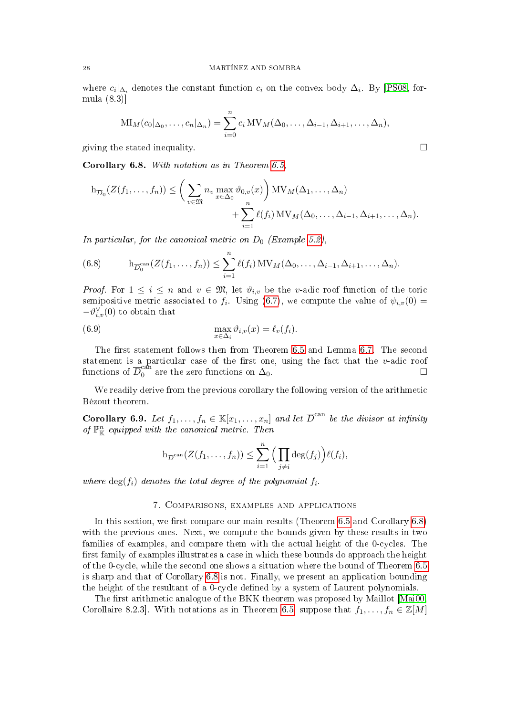where  $c_i|_{\Delta_i}$  denotes the constant function  $c_i$  on the convex body  $\Delta_i$ . By [\[PS08,](#page-33-1) formula (8.3)]

$$
\mathrm{MI}_{M}(c_{0} |_{\Delta_{0}}, \ldots, c_{n} |_{\Delta_{n}}) = \sum_{i=0}^{n} c_{i} \mathrm{MV}_{M}(\Delta_{0}, \ldots, \Delta_{i-1}, \Delta_{i+1}, \ldots, \Delta_{n}),
$$

giving the stated inequality.  $\Box$ 

<span id="page-27-0"></span>Corollary 6.8. With notation as in Theorem [6.5,](#page-26-1)

$$
h_{\overline{D}_0}(Z(f_1,\ldots,f_n)) \leq \left(\sum_{v\in \mathfrak{M}} n_v \max_{x \in \Delta_0} \vartheta_{0,v}(x)\right) MV_M(\Delta_1,\ldots,\Delta_n) + \sum_{i=1}^n \ell(f_i) MV_M(\Delta_0,\ldots,\Delta_{i-1},\Delta_{i+1},\ldots,\Delta_n).
$$

In particular, for the canonical metric on  $D_0$  (Example [5.2\)](#page-20-1),

<span id="page-27-3"></span>(6.8) 
$$
h_{\overline{D}_0^{\mathrm{can}}}(Z(f_1,\ldots,f_n)) \leq \sum_{i=1}^n \ell(f_i) \mathrm{MV}_M(\Delta_0,\ldots,\Delta_{i-1},\Delta_{i+1},\ldots,\Delta_n).
$$

*Proof.* For  $1 \leq i \leq n$  and  $v \in \mathfrak{M}$ , let  $\vartheta_{i,v}$  be the v-adic roof function of the toric semipositive metric associated to  $f_i$ . Using [\(6.7\)](#page-24-3), we compute the value of  $\psi_{i,v}(0)$  =  $-\vartheta_{i,v}^{\vee}(0)$  to obtain that

<span id="page-27-4"></span>(6.9) 
$$
\max_{x \in \Delta_i} \vartheta_{i,v}(x) = \ell_v(f_i).
$$

The first statement follows then from Theorem  $6.5$  and Lemma  $6.7$ . The second statement is a particular case of the first one, using the fact that the  $v$ -adic roof functions of  $\overline{D}_0^{\mathrm{can}}$  are the zero functions on  $\Delta_0$ .

We readily derive from the previous corollary the following version of the arithmetic Bézout theorem.

<span id="page-27-1"></span>**Corollary 6.9.** Let  $f_1, \ldots, f_n \in \mathbb{K}[x_1, \ldots, x_n]$  and let  $\overline{D}^{\text{can}}$  be the divisor at infinity of  $\mathbb{P}^n_{\mathbb{K}}$  equipped with the canonical metric. Then

$$
h_{\overline{D}^{\mathrm{can}}}(Z(f_1,\ldots,f_n)) \leq \sum_{i=1}^n \Big(\prod_{j\neq i} \deg(f_j)\Big) \ell(f_i),
$$

where  $\deg(f_i)$  denotes the total degree of the polynomial  $f_i$ .

# 7. Comparisons, examples and applications

<span id="page-27-2"></span>In this section, we first compare our main results (Theorem  $6.5$  and Corollary  $6.8$ ) with the previous ones. Next, we compute the bounds given by these results in two families of examples, and compare them with the actual height of the 0-cycles. The first family of examples illustrates a case in which these bounds do approach the height of the 0-cycle, while the second one shows a situation where the bound of Theorem [6.5](#page-26-1) is sharp and that of Corollary [6.8](#page-27-0) is not. Finally, we present an application bounding the height of the resultant of a 0-cycle dened by a system of Laurent polynomials.

The first arithmetic analogue of the BKK theorem was proposed by Maillot [\[Mai00,](#page-33-2) Corollaire 8.2.3]. With notations as in Theorem [6.5,](#page-26-1) suppose that  $f_1, \ldots, f_n \in \mathbb{Z}[M]$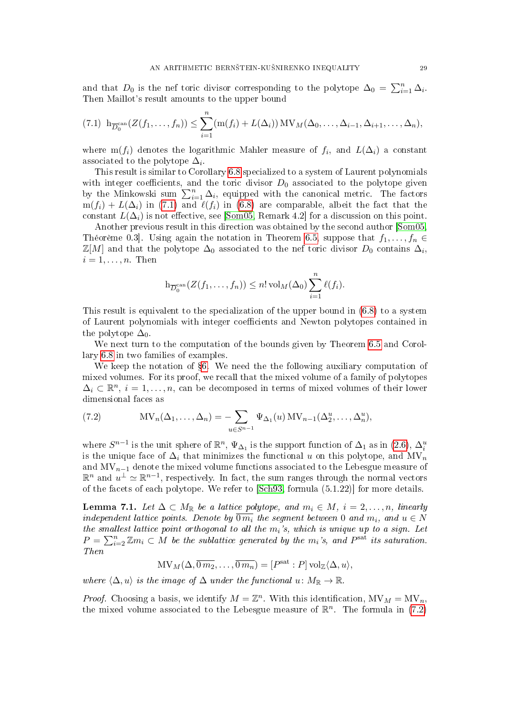and that  $D_0$  is the nef toric divisor corresponding to the polytope  $\Delta_0 = \sum_{i=1}^n \Delta_i$ . Then Maillot's result amounts to the upper bound

<span id="page-28-0"></span>
$$
(7.1) \ \operatorname{h}_{\overline{D}_0}^{\operatorname{can}}(Z(f_1,\ldots,f_n)) \leq \sum_{i=1}^n (\operatorname{m}(f_i) + L(\Delta_i)) \operatorname{MV}_M(\Delta_0,\ldots,\Delta_{i-1},\Delta_{i+1},\ldots,\Delta_n),
$$

where  $m(f_i)$  denotes the logarithmic Mahler measure of  $f_i$ , and  $L(\Delta_i)$  a constant associated to the polytope  $\Delta_i$ .

This result is similar to Corollary [6.8](#page-27-0) specialized to a system of Laurent polynomials with integer coefficients, and the toric divisor  $D_0$  associated to the polytope given by the Minkowski sum  $\sum_{i=1}^{n} \Delta_i$ , equipped with the canonical metric. The factors  $m(f_i) + L(\Delta_i)$  in [\(7.1\)](#page-28-0) and  $\ell(f_i)$  in [\(6.8\)](#page-27-3) are comparable, albeit the fact that the constant  $L(\Delta_i)$  is not effective, see [\[Som05,](#page-33-3) Remark 4.2] for a discussion on this point.

Another previous result in this direction was obtained by the second author [\[Som05,](#page-33-3) Théorème 0.3]. Using again the notation in Theorem [6.5,](#page-26-1) suppose that  $f_1, \ldots, f_n \in$  $\mathbb{Z}[M]$  and that the polytope  $\Delta_0$  associated to the nef toric divisor  $D_0$  contains  $\Delta_i$ ,  $i=1,\ldots,n$ . Then

$$
\mathrm{h}_{\overline{D}_0^{\mathrm{can}}}(Z(f_1,\ldots,f_n))\leq n!\operatorname{vol}_M(\Delta_0)\sum_{i=1}^n\ell(f_i).
$$

This result is equivalent to the specialization of the upper bound in [\(6.8\)](#page-27-3) to a system of Laurent polynomials with integer coefficients and Newton polytopes contained in the polytope  $\Delta_0$ .

We next turn to the computation of the bounds given by Theorem [6.5](#page-26-1) and Corollary [6.8](#page-27-0) in two families of examples.

We keep the notation of  $\S6$ . We need the the following auxiliary computation of mixed volumes. For its proof, we recall that the mixed volume of a family of polytopes  $\Delta_i \subset \mathbb{R}^n$ ,  $i = 1, \ldots, n$ , can be decomposed in terms of mixed volumes of their lower dimensional faces as

<span id="page-28-1"></span>(7.2) 
$$
MV_n(\Delta_1,\ldots,\Delta_n) = -\sum_{u \in S^{n-1}} \Psi_{\Delta_1}(u) MV_{n-1}(\Delta_2^u,\ldots,\Delta_n^u),
$$

where  $S^{n-1}$  is the unit sphere of  $\mathbb{R}^n$ ,  $\Psi_{\Delta_1}$  is the support function of  $\Delta_1$  as in  $(2.6)$ ,  $\Delta_i^u$ is the unique face of  $\Delta_i$  that minimizes the functional u on this polytope, and MV<sub>n</sub> and  $MV_{n-1}$  denote the mixed volume functions associated to the Lebesgue measure of  $\mathbb{R}^n$  and  $u^{\perp} \simeq \mathbb{R}^{n-1}$ , respectively. In fact, the sum ranges through the normal vectors of the facets of each polytope. We refer to [\[Sch93,](#page-33-6) formula (5.1.22)] for more details.

<span id="page-28-2"></span>**Lemma 7.1.** Let  $\Delta \subset M_{\mathbb{R}}$  be a lattice polytope, and  $m_i \in M$ ,  $i = 2, \ldots, n$ , linearly independent lattice points. Denote by  $\overline{0m_i}$  the segment between 0 and  $m_i$ , and  $u \in N$ the smallest lattice point orthogonal to all the  $m_i$ 's, which is unique up to a sign. Let  $P = \sum_{i=2}^{n} \mathbb{Z}m_i \subset M$  be the sublattice generated by the  $m_i$ 's, and  $P^{\text{sat}}$  its saturation. Then

 $\text{MV}_M(\Delta, \overline{0 m_2}, \dots, \overline{0 m_n}) = [P^{\text{sat}} : P] \,\text{vol}_{\mathbb{Z}}\langle \Delta, u \rangle,$ 

where  $\langle \Delta, u \rangle$  is the image of  $\Delta$  under the functional u:  $M_{\mathbb{R}} \to \mathbb{R}$ .

*Proof.* Choosing a basis, we identify  $M = \mathbb{Z}^n$ . With this identification,  $MV_M = MV_n$ , the mixed volume associated to the Lebesgue measure of  $\mathbb{R}^n$ . The formula in [\(7.2\)](#page-28-1)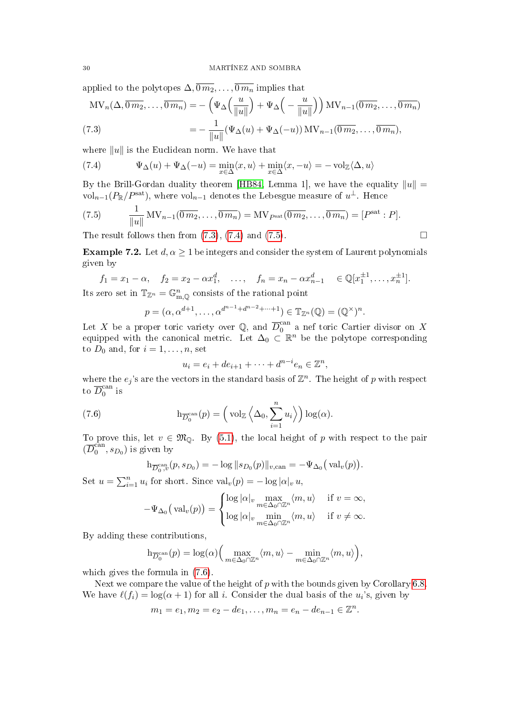applied to the polytopes  $\Delta$ ,  $\overline{0m_2}, \ldots, \overline{0m_n}$  implies that

<span id="page-29-1"></span>
$$
MV_n(\Delta, \overline{0m_2}, \dots, \overline{0m_n}) = -\left(\Psi_{\Delta}\left(\frac{u}{\|u\|}\right) + \Psi_{\Delta}\left(-\frac{u}{\|u\|}\right)\right) MV_{n-1}(\overline{0m_2}, \dots, \overline{0m_n})
$$
  
(7.3)
$$
= -\frac{1}{\|u\|}(\Psi_{\Delta}(u) + \Psi_{\Delta}(-u)) MV_{n-1}(\overline{0m_2}, \dots, \overline{0m_n}),
$$

where  $||u||$  is the Euclidean norm. We have that

<span id="page-29-2"></span>(7.4) 
$$
\Psi_{\Delta}(u) + \Psi_{\Delta}(-u) = \min_{x \in \Delta} \langle x, u \rangle + \min_{x \in \Delta} \langle x, -u \rangle = -\text{vol}_{\mathbb{Z}} \langle \Delta, u \rangle
$$

By the Brill-Gordan duality theorem [\[HB84,](#page-32-16) Lemma 1], we have the equality  $||u|| =$ vol $_{n-1}(P_\mathbb{R}/P^\mathrm{sat})$ , where vol $_{n-1}$  denotes the Lebesgue measure of  $u^\perp$ . Hence

<span id="page-29-3"></span>(7.5) 
$$
\frac{1}{\|u\|} MV_{n-1}(\overline{0m_2},\ldots,\overline{0m_n}) = MV_{P^{\text{sat}}}(\overline{0m_2},\ldots,\overline{0m_n}) = [P^{\text{sat}}:P].
$$

The result follows then from  $(7.3)$ ,  $(7.4)$  and  $(7.5)$ .

<span id="page-29-0"></span>**Example 7.2.** Let  $d, \alpha \geq 1$  be integers and consider the system of Laurent polynomials given by

$$
f_1 = x_1 - \alpha
$$
,  $f_2 = x_2 - \alpha x_1^d$ , ...,  $f_n = x_n - \alpha x_{n-1}^d \in \mathbb{Q}[x_1^{\pm 1}, \dots, x_n^{\pm 1}].$   
zero set in  $\mathbb{F}_{\mathbb{Z}^n} - \mathbb{C}^n$  consists of the rational point

Its zero set in  $\mathbb{T}_{\mathbb{Z}^n} = \mathbb{G}_{\mathbf{m},\mathbb{Q}}^n$  consists of the rational point

$$
p = (\alpha, \alpha^{d+1}, \dots, \alpha^{d^{n-1} + d^{n-2} + \dots + 1}) \in \mathbb{T}_{\mathbb{Z}^n}(\mathbb{Q}) = (\mathbb{Q}^\times)^n.
$$

Let X be a proper toric variety over  $\mathbb{Q}$ , and  $\overline{D}_0^{\mathrm{can}}$  a nef toric Cartier divisor on X equipped with the canonical metric. Let  $\Delta_0 \subset \mathbb{R}^n$  be the polytope corresponding to  $D_0$  and, for  $i = 1, \ldots, n$ , set

<span id="page-29-4"></span>
$$
u_i = e_i + de_{i+1} + \dots + d^{n-i}e_n \in \mathbb{Z}^n,
$$

where the  $e_j$ 's are the vectors in the standard basis of  $\mathbb{Z}^n$ . The height of p with respect to  $\overline{D}_0^{\text{can}}$  $\frac{1}{0}$  is

(7.6) 
$$
h_{\overline{D}_0^{\text{can}}}(p) = \left(\text{vol}_{\mathbb{Z}}\left\langle \Delta_0, \sum_{i=1}^n u_i\right\rangle\right) \log(\alpha).
$$

To prove this, let  $v \in \mathfrak{M}_{\mathbb{Q}}$ . By [\(5.1\)](#page-19-3), the local height of p with respect to the pair  $(\overline{D}_0^{\text{can}})$  $\binom{can}{0}$ ,  $s_{D_0}$ ) is given by

$$
\mathrm{h}_{\overline{D}_{0}^{\mathrm{can}}(p, s_{D_0})} = -\log ||s_{D_0}(p)||_{v, \mathrm{can}} = -\Psi_{\Delta_0}(\mathrm{val}_v(p)).
$$

Set  $u = \sum_{i=1}^{n} u_i$  for short. Since  $\text{val}_v(p) = -\log |\alpha|_v u$ ,

$$
-\Psi_{\Delta_0}(\text{val}_v(p)) = \begin{cases} \log |\alpha|_v \max_{m \in \Delta_0 \cap \mathbb{Z}^n} \langle m, u \rangle & \text{if } v = \infty, \\ \log |\alpha|_v \min_{m \in \Delta_0 \cap \mathbb{Z}^n} \langle m, u \rangle & \text{if } v \neq \infty. \end{cases}
$$

By adding these contributions,

$$
\mathrm{h}_{\overline{D}_0^{\mathrm{can}}}(p) = \log(\alpha) \Big( \max_{m \in \Delta_0 \cap \mathbb{Z}^n} \langle m, u \rangle - \min_{m \in \Delta_0 \cap \mathbb{Z}^n} \langle m, u \rangle \Big),
$$

which gives the formula in [\(7.6\)](#page-29-4).

Next we compare the value of the height of  $p$  with the bounds given by Corollary [6.8.](#page-27-0) We have  $\ell(f_i) = \log(\alpha + 1)$  for all i. Consider the dual basis of the  $u_i$ 's, given by

$$
m_1 = e_1, m_2 = e_2 - de_1, \dots, m_n = e_n - de_{n-1} \in \mathbb{Z}^n.
$$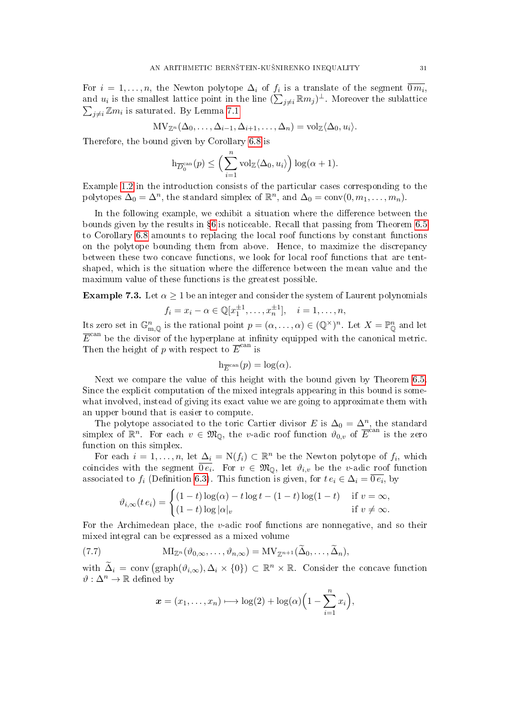For  $i = 1, \ldots, n$ , the Newton polytope  $\Delta_i$  of  $f_i$  is a translate of the segment  $\overline{0m_i}$ , and  $u_i$  is the smallest lattice point in the line  $(\sum_{j\neq i} \mathbb{R}m_j)^{\perp}$ . Moreover the sublattice  $\sum_{j\neq i} \mathbb{Z}m_i$  is saturated. By Lemma [7.1](#page-28-2)

$$
\mathrm{MV}_{\mathbb{Z}^n}(\Delta_0,\ldots,\Delta_{i-1},\Delta_{i+1},\ldots,\Delta_n)=\mathrm{vol}_{\mathbb{Z}}\langle\Delta_0,u_i\rangle.
$$

Therefore, the bound given by Corollary [6.8](#page-27-0) is

$$
h_{\overline{D}_0^{\mathrm{can}}}(p) \le \left(\sum_{i=1}^n \mathrm{vol}_{\mathbb{Z}}\langle \Delta_0, u_i \rangle\right) \log(\alpha + 1).
$$

Example [1.2](#page-2-1) in the introduction consists of the particular cases corresponding to the polytopes  $\Delta_0 = \Delta^n$ , the standard simplex of  $\mathbb{R}^n$ , and  $\Delta_0 = \text{conv}(0, m_1, \ldots, m_n)$ .

In the following example, we exhibit a situation where the difference between the bounds given by the results in §[6](#page-22-1) is noticeable. Recall that passing from Theorem [6.5](#page-26-1) to Corollary [6.8](#page-27-0) amounts to replacing the local roof functions by constant functions on the polytope bounding them from above. Hence, to maximize the discrepancy between these two concave functions, we look for local roof functions that are tentshaped, which is the situation where the difference between the mean value and the maximum value of these functions is the greatest possible.

**Example 7.3.** Let  $\alpha \geq 1$  be an integer and consider the system of Laurent polynomials

$$
f_i = x_i - \alpha \in \mathbb{Q}[x_1^{\pm 1}, \dots, x_n^{\pm 1}], \quad i = 1, \dots, n,
$$

Its zero set in  $\mathbb{G}_{m,\mathbb{Q}}^n$  is the rational point  $p = (\alpha,\ldots,\alpha) \in (\mathbb{Q}^\times)^n$ . Let  $X = \mathbb{P}_{\mathbb{Q}}^n$  and let  $\overline{E}^{\text{can}}$  be the divisor of the hyperplane at infinity equipped with the canonical metric. Then the height of p with respect to  $\overline{E}^{\text{can}}$  is

$$
h_{\overline{E}^{\operatorname{can}}}(p) = \log(\alpha).
$$

Next we compare the value of this height with the bound given by Theorem [6.5.](#page-26-1) Since the explicit computation of the mixed integrals appearing in this bound is somewhat involved, instead of giving its exact value we are going to approximate them with an upper bound that is easier to compute.

The polytope associated to the toric Cartier divisor E is  $\Delta_0 = \Delta^n$ , the standard simplex of  $\mathbb{R}^n$ . For each  $v \in \mathfrak{M}_{\mathbb{Q}}$ , the v-adic roof function  $\mathfrak{d}_{0,v}$  of  $\overline{E}^{\text{can}}$  is the zero function on this simplex.

For each  $i = 1, \ldots, n$ , let  $\Delta_i = N(f_i) \subset \mathbb{R}^n$  be the Newton polytope of  $f_i$ , which coincides with the segment  $\overline{0e_i}$ . For  $v \in \mathfrak{M}_{\mathbb{Q}}$ , let  $\vartheta_{i,v}$  be the v-adic roof function associated to  $f_i$  (Definition [6.3\)](#page-25-1). This function is given, for  $t e_i \in \Delta_i = \overline{0 e_i}$ , by

$$
\vartheta_{i,\infty}(t\,e_i) = \begin{cases} (1-t)\log(\alpha) - t\log t - (1-t)\log(1-t) & \text{if } v = \infty, \\ (1-t)\log|\alpha|_v & \text{if } v \neq \infty. \end{cases}
$$

For the Archimedean place, the v-adic roof functions are nonnegative, and so their mixed integral can be expressed as a mixed volume

(7.7) 
$$
\mathrm{MI}_{\mathbb{Z}^n}(\vartheta_{0,\infty},\ldots,\vartheta_{n,\infty})=\mathrm{MV}_{\mathbb{Z}^{n+1}}(\tilde{\Delta}_0,\ldots,\tilde{\Delta}_n),
$$

with  $\tilde{\Delta}_i = \text{conv} (\text{graph}(\vartheta_{i,\infty}), \Delta_i \times \{0\}) \subset \mathbb{R}^n \times \mathbb{R}$ . Consider the concave function  $\vartheta : \Delta^n \to \mathbb{R}$  defined by

<span id="page-30-0"></span>
$$
\boldsymbol{x} = (x_1, \ldots, x_n) \longmapsto \log(2) + \log(\alpha) \Big( 1 - \sum_{i=1}^n x_i \Big),
$$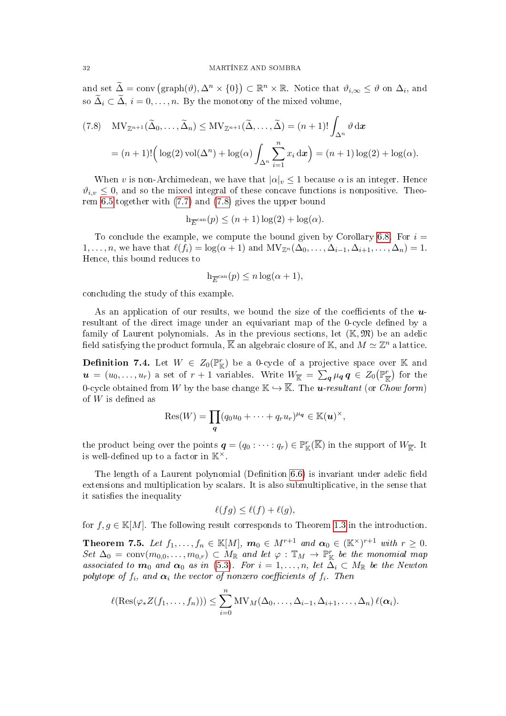and set  $\widetilde{\Delta} = \text{conv}(\text{graph}(\vartheta), \Delta^n \times \{0\}) \subset \mathbb{R}^n \times \mathbb{R}$ . Notice that  $\vartheta_{i,\infty} \leq \vartheta$  on  $\Delta_i$ , and so  $\widetilde{\Delta}_i \subset \widetilde{\Delta}$ ,  $i = 0, \ldots, n$ . By the monotony of the mixed volume,

<span id="page-31-1"></span>(7.8) 
$$
MV_{\mathbb{Z}^{n+1}}(\tilde{\Delta}_0, ..., \tilde{\Delta}_n) \le MV_{\mathbb{Z}^{n+1}}(\tilde{\Delta}, ..., \tilde{\Delta}) = (n+1)! \int_{\Delta^n} \vartheta \, dx
$$

$$
= (n+1)! \Big( \log(2) \operatorname{vol}(\Delta^n) + \log(\alpha) \int_{\Delta^n} \sum_{i=1}^n x_i \, dx \Big) = (n+1) \log(2) + \log(\alpha).
$$

When v is non-Archimedean, we have that  $|\alpha|_v \leq 1$  because  $\alpha$  is an integer. Hence  $\vartheta_{i,v} \leq 0$ , and so the mixed integral of these concave functions is nonpositive. Theorem [6.5](#page-26-1) together with [\(7.7\)](#page-30-0) and [\(7.8\)](#page-31-1) gives the upper bound

$$
h_{\overline{E}^{\operatorname{can}}}(p) \le (n+1)\log(2) + \log(\alpha).
$$

To conclude the example, we compute the bound given by Corollary [6.8.](#page-27-0) For  $i =$  $1, \ldots, n$ , we have that  $\ell(f_i) = \log(\alpha + 1)$  and  $MV_{\mathbb{Z}^n}(\Delta_0, \ldots, \Delta_{i-1}, \Delta_{i+1}, \ldots, \Delta_n) = 1$ . Hence, this bound reduces to

$$
h_{\overline{E}^{\mathrm{can}}}(p) \le n \log(\alpha + 1),
$$

concluding the study of this example.

As an application of our results, we bound the size of the coefficients of the  $u$ resultant of the direct image under an equivariant map of the 0-cycle defined by a family of Laurent polynomials. As in the previous sections, let  $(\mathbb{K}, \mathfrak{M})$  be an adelic field satisfying the product formula,  $\overline{\mathbb{K}}$  an algebraic closure of  $\mathbb{K},$  and  $M\simeq \mathbb{Z}^n$  a lattice.

<span id="page-31-0"></span>**Definition 7.4.** Let  $W \in Z_0(\mathbb{P}_{\mathbb{K}}^r)$  be a 0-cycle of a projective space over K and  $u = (u_0, \ldots, u_r)$  a set of  $r + 1$  variables. Write  $W_{\overline{K}} = \sum_q \mu_q q \in Z_0(\mathbb{P}^r_{\overline{K}})$  for the 0-cycle obtained from W by the base change  $\mathbb{K} \hookrightarrow \overline{\mathbb{K}}$ . The **u**-resultant (or *Chow form*) of  $W$  is defined as

$$
Res(W) = \prod_{\boldsymbol{q}} (q_0u_0 + \cdots + q_ru_r)^{\mu_{\boldsymbol{q}}} \in \mathbb{K}(\boldsymbol{u})^{\times},
$$

the product being over the points  $q = (q_0 : \cdots : q_r) \in \mathbb{P}^r_{\mathbb{K}}(\overline{\mathbb{K}})$  in the support of  $W_{\overline{\mathbb{K}}}$ . It is well-defined up to a factor in  $K^{\times}$ .

The length of a Laurent polynomial (Definition  $6.6$ ) is invariant under adelic field extensions and multiplication by scalars. It is also submultiplicative, in the sense that it satisfies the inequality

$$
\ell(fg) \le \ell(f) + \ell(g),
$$

for  $f, g \in \mathbb{K}[M]$ . The following result corresponds to Theorem [1.3](#page-3-1) in the introduction.

**Theorem 7.5.** Let  $f_1, \ldots, f_n \in \mathbb{K}[M]$ ,  $m_0 \in M^{r+1}$  and  $\alpha_0 \in (\mathbb{K}^{\times})^{r+1}$  with  $r \geq 0$ . Set  $\Delta_0 = \text{conv}(m_{0,0}, \ldots, m_{0,r}) \subset M_{\mathbb{R}}$  and let  $\varphi : \mathbb{T}_M \to \mathbb{P}^r_{\mathbb{K}}$  be the monomial map associated to  $m_0$  and  $\alpha_0$  as in [\(5.3\)](#page-21-1). For  $i = 1, \ldots, n$ , let  $\Delta_i \subset M_{\mathbb{R}}$  be the Newton polytope of  $f_i$ , and  $\alpha_i$  the vector of nonzero coefficients of  $f_i$ . Then

$$
\ell(\text{Res}(\varphi_*Z(f_1,\ldots,f_n)))\leq \sum_{i=0}^n \text{MV}_M(\Delta_0,\ldots,\Delta_{i-1},\Delta_{i+1},\ldots,\Delta_n)\,\ell(\alpha_i).
$$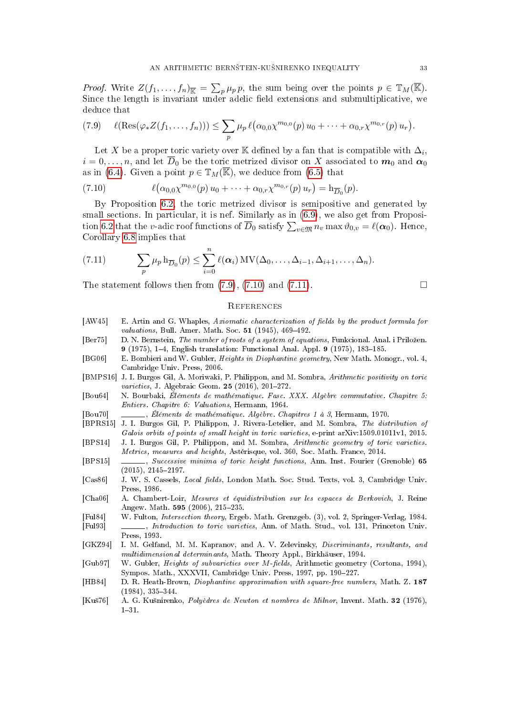*Proof.* Write  $Z(f_1,\ldots,f_n)_{\overline{\mathbb{K}}} = \sum_p \mu_p p$ , the sum being over the points  $p \in \mathbb{T}_M(\overline{\mathbb{K}})$ . Since the length is invariant under adelic field extensions and submultiplicative, we deduce that

<span id="page-32-17"></span>
$$
(7.9) \quad \ell(\text{Res}(\varphi_* Z(f_1,\ldots,f_n))) \leq \sum_p \mu_p \ell(\alpha_{0,0}\chi^{m_{0,0}}(p) u_0 + \cdots + \alpha_{0,r}\chi^{m_{0,r}}(p) u_r).
$$

Let X be a proper toric variety over K defined by a fan that is compatible with  $\Delta_i$ ,  $i = 0, \ldots, n$ , and let  $\overline{D}_0$  be the toric metrized divisor on X associated to  $m_0$  and  $\alpha_0$ as in [\(6.4\)](#page-24-4). Given a point  $p \in \mathbb{T}_M(\overline{\mathbb{K}})$ , we deduce from [\(6.5\)](#page-24-2) that

<span id="page-32-18"></span>(7.10) 
$$
\ell(\alpha_{0,0}\chi^{m_{0,0}}(p)u_0 + \cdots + \alpha_{0,r}\chi^{m_{0,r}}(p)u_r) = h_{\overline{D}_0}(p).
$$

By Proposition [6.2,](#page-24-0) the toric metrized divisor is semipositive and generated by small sections. In particular, it is nef. Similarly as in [\(6.9\)](#page-27-4), we also get from Proposi-tion [6.2](#page-24-0) that the v-adic roof functions of  $\overline{D}_0$  satisfy  $\sum_{v \in \mathfrak{M}} n_v \max \vartheta_{0,v} = \ell(\boldsymbol{\alpha}_0)$ . Hence, Corollary [6.8](#page-27-0) implies that

<span id="page-32-19"></span>(7.11) 
$$
\sum_{p} \mu_p h_{\overline{D}_0}(p) \leq \sum_{i=0}^n \ell(\boldsymbol{\alpha}_i) MV(\Delta_0,\ldots,\Delta_{i-1},\Delta_{i+1},\ldots,\Delta_n).
$$

The statement follows then from  $(7.9)$ ,  $(7.10)$  and  $(7.11)$ .

## **REFERENCES**

- <span id="page-32-13"></span>[AW45] E. Artin and G. Whaples, Axiomatic characterization of fields by the product formula for *valuations*, Bull. Amer. Math. Soc.  $51$  (1945), 469-492.
- <span id="page-32-1"></span>[Ber75] D. N. Bernstein, The number of roots of a system of equations, Funkcional. Anal. i Priložen. 9 (1975), 1-4, English translation: Functional Anal. Appl. 9 (1975), 183-185.
- <span id="page-32-3"></span>[BG06] E. Bombieri and W. Gubler, Heights in Diophantine geometry, New Math. Monogr., vol. 4, Cambridge Univ. Press, 2006.
- <span id="page-32-5"></span>[BMPS16] J. I. Burgos Gil, A. Moriwaki, P. Philippon, and M. Sombra, Arithmetic positivity on toric *varieties*, J. Algebraic Geom.  $25$  (2016), 201-272.
- <span id="page-32-9"></span>[Bou64] N. Bourbaki, Éléments de mathématique. Fasc. XXX. Algèbre commutative. Chapitre 5: Entiers. Chapitre 6: Valuations, Hermann, 1964.
- <span id="page-32-11"></span>[Bou70] , Éléments de mathématique. Algèbre. Chapitres 1 à 3, Hermann, 1970.
- <span id="page-32-12"></span>[BPRS15] J. I. Burgos Gil, P. Philippon, J. Rivera-Letelier, and M. Sombra, The distribution of Galois orbits of points of small height in toric varieties, e-print arXiv:1509.01011v1, 2015.
- <span id="page-32-4"></span>[BPS14] J. I. Burgos Gil, P. Philippon, and M. Sombra, Arithmetic geometry of toric varieties. Metrics, measures and heights, Astérisque, vol. 360, Soc. Math. France, 2014.
- <span id="page-32-15"></span>[BPS15] , Successive minima of toric height functions, Ann. Inst. Fourier (Grenoble) 65  $(2015), 2145 - 2197.$
- <span id="page-32-8"></span>[Cas86] J. W. S. Cassels, *Local fields*, London Math. Soc. Stud. Texts, vol. 3, Cambridge Univ. Press, 1986.
- <span id="page-32-14"></span>[Cha06] A. Chambert-Loir, Mesures et équidistribution sur les espaces de Berkovich, J. Reine Angew. Math. 595 (2006), 215-235.
- <span id="page-32-7"></span><span id="page-32-6"></span>[Ful84] W. Fulton, Intersection theory, Ergeb. Math. Grenzgeb. (3), vol. 2, Springer-Verlag, 1984. [Ful93] , Introduction to toric varieties, Ann. of Math. Stud., vol. 131, Princeton Univ. Press, 1993.
- <span id="page-32-2"></span>[GKZ94] I. M. Gelfand, M. M. Kapranov, and A. V. Zelevinsky, Discriminants, resultants, and multidimensional determinants, Math. Theory Appl., Birkhäuser, 1994.
- <span id="page-32-10"></span>[Gub97] W. Gubler, *Heights of subvarieties over M-fields*, Arithmetic geometry (Cortona, 1994), Sympos. Math., XXXVII, Cambridge Univ. Press, 1997, pp. 190-227.
- <span id="page-32-16"></span>[HB84] D. R. Heath-Brown, Diophantine approximation with square-free numbers, Math. Z. 187  $(1984)$ ,  $335-344$ .
- <span id="page-32-0"></span>[Ku²76] A. G. Ku²nirenko, Polyèdres de Newton et nombres de Milnor, Invent. Math. 32 (1976),  $1 - 31$ .